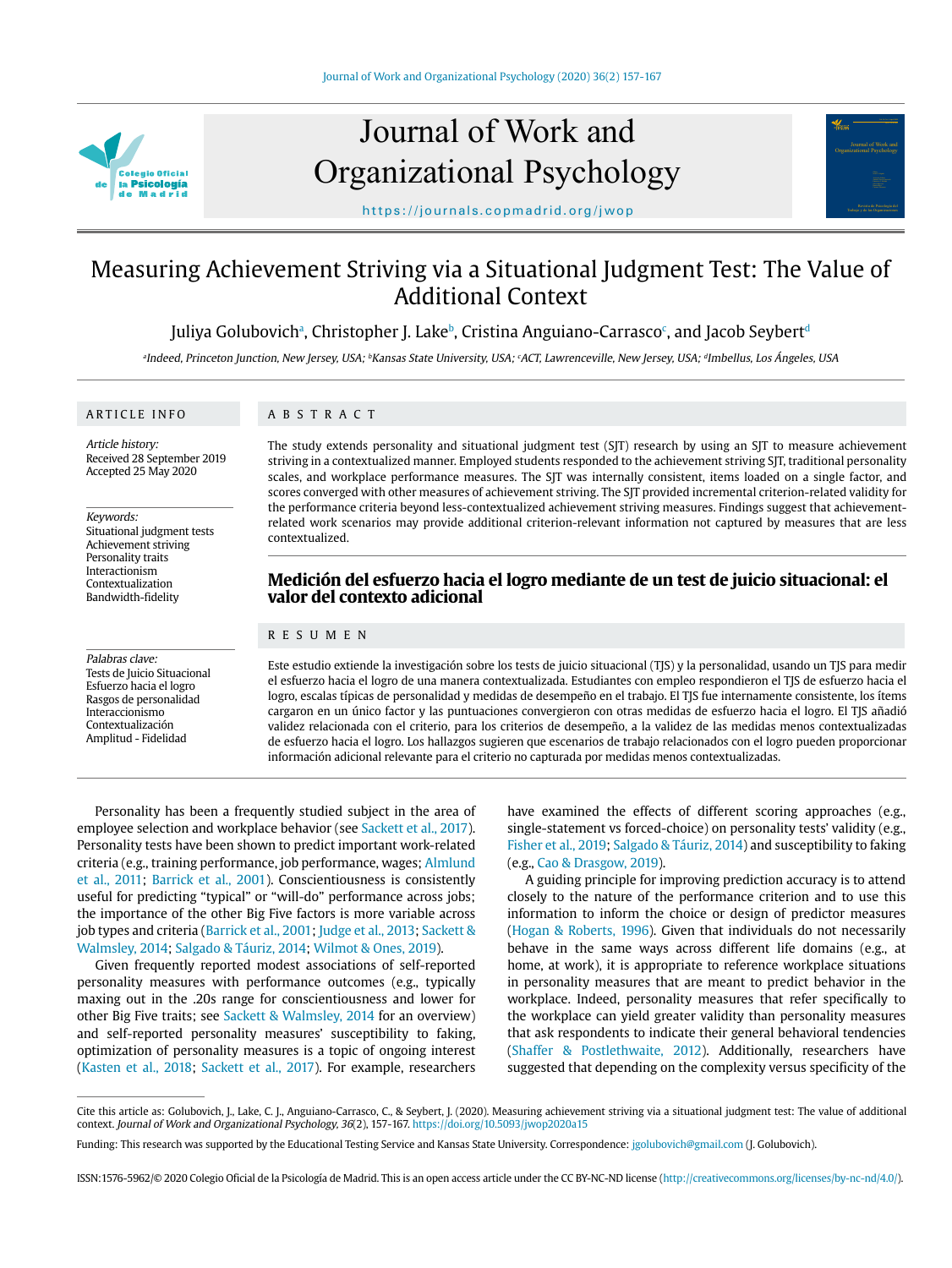

# Journal of Work and Organizational Psychology



https://journals.copmadrid.org/jwop

# Measuring Achievement Striving via a Situational Judgment Test: The Value of Additional Context

# Juliya Golubovichª, Christopher J. Lake<sup>b</sup>, Cristina Anguiano-Carrasco<sup>c</sup>, and Jacob Seybert<sup>d</sup>

aIndeed, Princeton Junction, New Jersey, USA; <sup>b</sup>Kansas State University, USA; <sup>c</sup>ACT, Lawrenceville, New Jersey, USA; <sup>a</sup>Imbellus, Los Ángeles, USA

#### ARTICLE INFO

ABSTRACT

Article history: Received 28 September 2019 Accepted 25 May 2020

#### Keywords:

Situational judgment tests Achievement striving Personality traits Interactionism Contextualization Bandwidth-fidelity

Palabras clave: Tests de Juicio Situacional Esfuerzo hacia el logro Rasgos de personalidad Interaccionismo Contextualización Amplitud - Fidelidad

The study extends personality and situational judgment test (SJT) research by using an SJT to measure achievement striving in a contextualized manner. Employed students responded to the achievement striving SJT, traditional personality scales, and workplace performance measures. The SJT was internally consistent, items loaded on a single factor, and scores converged with other measures of achievement striving. The SJT provided incremental criterion-related validity for the performance criteria beyond less-contextualized achievement striving measures. Findings suggest that achievementrelated work scenarios may provide additional criterion-relevant information not captured by measures that are less contextualized.

## **Medición del esfuerzo hacia el logro mediante de un test de juicio situacional: el valor del contexto adicional**

#### RESUMEN

Este estudio extiende la investigación sobre los tests de juicio situacional (TJS) y la personalidad, usando un TJS para medir el esfuerzo hacia el logro de una manera contextualizada. Estudiantes con empleo respondieron el TJS de esfuerzo hacia el logro, escalas típicas de personalidad y medidas de desempeño en el trabajo. El TJS fue internamente consistente, los ítems cargaron en un único factor y las puntuaciones convergieron con otras medidas de esfuerzo hacia el logro. El TJS añadió validez relacionada con el criterio, para los criterios de desempeño, a la validez de las medidas menos contextualizadas de esfuerzo hacia el logro. Los hallazgos sugieren que escenarios de trabajo relacionados con el logro pueden proporcionar información adicional relevante para el criterio no capturada por medidas menos contextualizadas.

Personality has been a frequently studied subject in the area of employee selection and workplace behavior (see [Sackett et al., 2017\)](#page-10-0). Personality tests have been shown to predict important work-related criteria (e.g., training performance, job performance, wages; [Almlund](#page-9-0)  [et al., 2011](#page-9-0); [Barrick et al., 2001](#page-9-1)). Conscientiousness is consistently useful for predicting "typical" or "will-do" performance across jobs; the importance of the other Big Five factors is more variable across job types and criteria ([Barrick et al., 2001](#page-9-1); [Judge et al., 2013;](#page-9-2) Sackett & [Walmsley, 2014](#page-10-0); [Salgado & Táuriz, 2014;](#page-10-1) [Wilmot & Ones, 2019\)](#page-10-2).

Given frequently reported modest associations of self-reported personality measures with performance outcomes (e.g., typically maxing out in the .20s range for conscientiousness and lower for other Big Five traits; see [Sackett & Walmsley, 2014](#page-10-0) for an overview) and self-reported personality measures' susceptibility to faking, optimization of personality measures is a topic of ongoing interest [\(Kasten et al., 2018](#page-9-3); [Sackett et al., 2017\)](#page-10-0). For example, researchers

have examined the effects of different scoring approaches (e.g., single-statement vs forced-choice) on personality tests' validity (e.g., [Fisher et al., 2019](#page-9-4); [Salgado & Táuriz, 2014\)](#page-10-1) and susceptibility to faking (e.g., [Cao & Drasgow, 2019\)](#page-9-5).

A guiding principle for improving prediction accuracy is to attend closely to the nature of the performance criterion and to use this information to inform the choice or design of predictor measures [\(Hogan & Roberts, 1996](#page-9-6)). Given that individuals do not necessarily behave in the same ways across different life domains (e.g., at home, at work), it is appropriate to reference workplace situations in personality measures that are meant to predict behavior in the workplace. Indeed, personality measures that refer specifically to the workplace can yield greater validity than personality measures that ask respondents to indicate their general behavioral tendencies [\(Shaffer & Postlethwaite, 2012](#page-10-3)). Additionally, researchers have suggested that depending on the complexity versus specificity of the

Cite this article as: Golubovich, J., Lake, C. J., Anguiano-Carrasco, C., & Seybert, J. (2020). Measuring achievement striving via a situational judgment test: The value of additional context. Journal of Work and Organizational Psychology, 36(2), 157-167. https://doi.org/10.5093/jwop2020a15

Funding: This research was supported by the Educational Testing Service and Kansas State University. Correspondence: jgolubovich@gmail.com (J. Golubovich).

ISSN:1576-5962/© 2020 Colegio Oficial de la Psicología de Madrid. This is an open access article under the CC BY-NC-ND license (http://creativecommons.org/licenses/by-nc-nd/4.0/).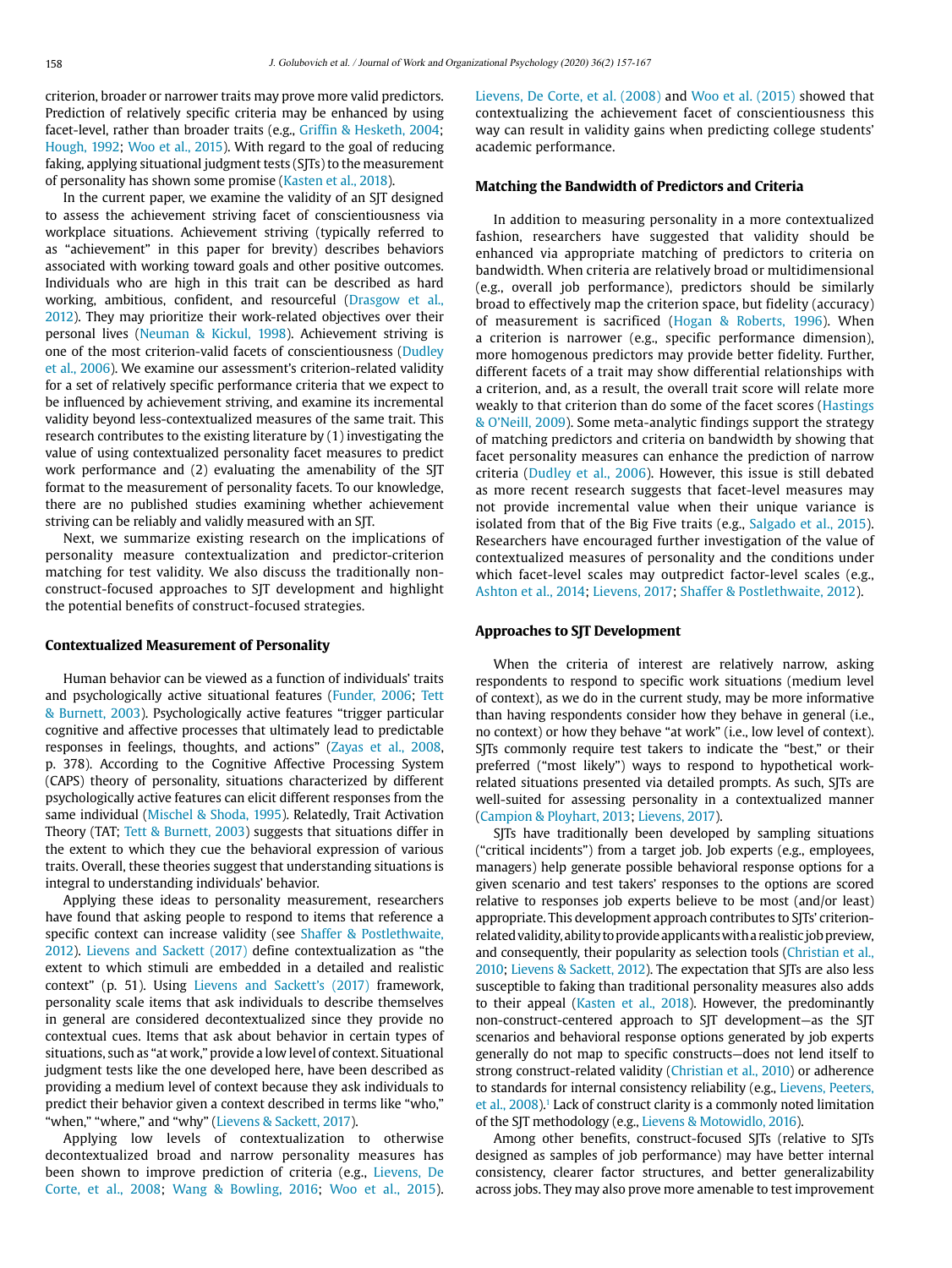criterion, broader or narrower traits may prove more valid predictors. Prediction of relatively specific criteria may be enhanced by using facet-level, rather than broader traits (e.g., [Griffin & Hesketh, 2004;](#page-9-7) [Hough, 1992;](#page-9-8) [Woo et al., 2015](#page-10-4)). With regard to the goal of reducing faking, applying situational judgment tests (SJTs) to the measurement of personality has shown some promise ([Kasten et al., 2018\)](#page-9-3).

In the current paper, we examine the validity of an SJT designed to assess the achievement striving facet of conscientiousness via workplace situations. Achievement striving (typically referred to as "achievement" in this paper for brevity) describes behaviors associated with working toward goals and other positive outcomes. Individuals who are high in this trait can be described as hard working, ambitious, confident, and resourceful ([Drasgow et al.,](#page-9-9)  [2012](#page-9-9)). They may prioritize their work-related objectives over their personal lives ([Neuman & Kickul, 1998](#page-10-5)). Achievement striving is one of the most criterion-valid facets of conscientiousness ([Dudley](#page-9-10)  [et al., 2006\)](#page-9-10). We examine our assessment's criterion-related validity for a set of relatively specific performance criteria that we expect to be influenced by achievement striving, and examine its incremental validity beyond less-contextualized measures of the same trait. This research contributes to the existing literature by (1) investigating the value of using contextualized personality facet measures to predict work performance and (2) evaluating the amenability of the SJT format to the measurement of personality facets. To our knowledge, there are no published studies examining whether achievement striving can be reliably and validly measured with an SJT.

Next, we summarize existing research on the implications of personality measure contextualization and predictor-criterion matching for test validity. We also discuss the traditionally nonconstruct-focused approaches to SJT development and highlight the potential benefits of construct-focused strategies.

#### **Contextualized Measurement of Personality**

Human behavior can be viewed as a function of individuals' traits and psychologically active situational features [\(Funder, 2006](#page-9-11); [Tett](#page-10-6)  [& Burnett, 2003](#page-10-6)). Psychologically active features "trigger particular cognitive and affective processes that ultimately lead to predictable responses in feelings, thoughts, and actions" [\(Zayas et al., 2008,](#page-10-7) p. 378). According to the Cognitive Affective Processing System (CAPS) theory of personality, situations characterized by different psychologically active features can elicit different responses from the same individual [\(Mischel & Shoda, 1995](#page-10-8)). Relatedly, Trait Activation Theory (TAT; [Tett & Burnett, 2003](#page-10-6)) suggests that situations differ in the extent to which they cue the behavioral expression of various traits. Overall, these theories suggest that understanding situations is integral to understanding individuals' behavior.

Applying these ideas to personality measurement, researchers have found that asking people to respond to items that reference a specific context can increase validity (see [Shaffer & Postlethwaite,](#page-10-3)  [2012](#page-10-3)). [Lievens and Sackett \(2017\)](#page-9-12) define contextualization as "the extent to which stimuli are embedded in a detailed and realistic context" (p. 51). Using [Lievens and Sackett's \(2017\)](#page-9-12) framework, personality scale items that ask individuals to describe themselves in general are considered decontextualized since they provide no contextual cues. Items that ask about behavior in certain types of situations, such as "at work," provide a low level of context. Situational judgment tests like the one developed here, have been described as providing a medium level of context because they ask individuals to predict their behavior given a context described in terms like "who," "when," "where," and "why" ([Lievens & Sackett, 2017](#page-9-12)).

Applying low levels of contextualization to otherwise decontextualized broad and narrow personality measures has been shown to improve prediction of criteria (e.g., [Lievens, De](#page-9-12)  [Corte, et al., 2008;](#page-9-12) [Wang & Bowling, 2016](#page-10-9); [Woo et al., 2015\)](#page-10-4). [Lievens, De Corte, et al. \(2008\)](#page-9-12) and [Woo et al. \(2015\)](#page-10-4) showed that contextualizing the achievement facet of conscientiousness this way can result in validity gains when predicting college students' academic performance.

#### **Matching the Bandwidth of Predictors and Criteria**

In addition to measuring personality in a more contextualized fashion, researchers have suggested that validity should be enhanced via appropriate matching of predictors to criteria on bandwidth. When criteria are relatively broad or multidimensional (e.g., overall job performance), predictors should be similarly broad to effectively map the criterion space, but fidelity (accuracy) of measurement is sacrificed ([Hogan & Roberts, 1996\)](#page-9-6). When a criterion is narrower (e.g., specific performance dimension), more homogenous predictors may provide better fidelity. Further, different facets of a trait may show differential relationships with a criterion, and, as a result, the overall trait score will relate more weakly to that criterion than do some of the facet scores ([Hastings](#page-9-13) [& O'Neill, 2009](#page-9-13)). Some meta-analytic findings support the strategy of matching predictors and criteria on bandwidth by showing that facet personality measures can enhance the prediction of narrow criteria ([Dudley et al., 2006](#page-9-10)). However, this issue is still debated as more recent research suggests that facet-level measures may not provide incremental value when their unique variance is isolated from that of the Big Five traits (e.g., [Salgado et al., 2015](#page-10-1)). Researchers have encouraged further investigation of the value of contextualized measures of personality and the conditions under which facet-level scales may outpredict factor-level scales (e.g., [Ashton et al., 2014](#page-9-14); [Lievens, 2017;](#page-9-12) [Shaffer & Postlethwaite, 2012\)](#page-10-3).

#### **Approaches to SJT Development**

When the criteria of interest are relatively narrow, asking respondents to respond to specific work situations (medium level of context), as we do in the current study, may be more informative than having respondents consider how they behave in general (i.e., no context) or how they behave "at work" (i.e., low level of context). SJTs commonly require test takers to indicate the "best," or their preferred ("most likely") ways to respond to hypothetical workrelated situations presented via detailed prompts. As such, SJTs are well-suited for assessing personality in a contextualized manner ([Campion & Ployhart, 2013;](#page-9-15) [Lievens, 2017\)](#page-9-12).

SJTs have traditionally been developed by sampling situations ("critical incidents") from a target job. Job experts (e.g., employees, managers) help generate possible behavioral response options for a given scenario and test takers' responses to the options are scored relative to responses job experts believe to be most (and/or least) appropriate. This development approach contributes to SJTs' criterionrelated validity, ability to provide applicants with a realistic job preview, and consequently, their popularity as selection tools ([Christian et al.,](#page-9-16) [2010](#page-9-16); [Lievens & Sackett, 2012\)](#page-9-12). The expectation that SJTs are also less susceptible to faking than traditional personality measures also adds to their appeal ([Kasten et al., 2018](#page-9-3)). However, the predominantly non-construct-centered approach to SJT development—as the SJT scenarios and behavioral response options generated by job experts generally do not map to specific constructs—does not lend itself to strong construct-related validity [\(Christian et al., 2010](#page-9-16)) or adherence to standards for internal consistency reliability (e.g., [Lievens, Peeters,](#page-9-12) [et al., 2008\)](#page-9-12).<sup>[1](#page-8-0)</sup> Lack of construct clarity is a commonly noted limitation of the SJT methodology (e.g., [Lievens & Motowidlo, 2016](#page-9-12)).

Among other benefits, construct-focused SJTs (relative to SJTs designed as samples of job performance) may have better internal consistency, clearer factor structures, and better generalizability across jobs. They may also prove more amenable to test improvement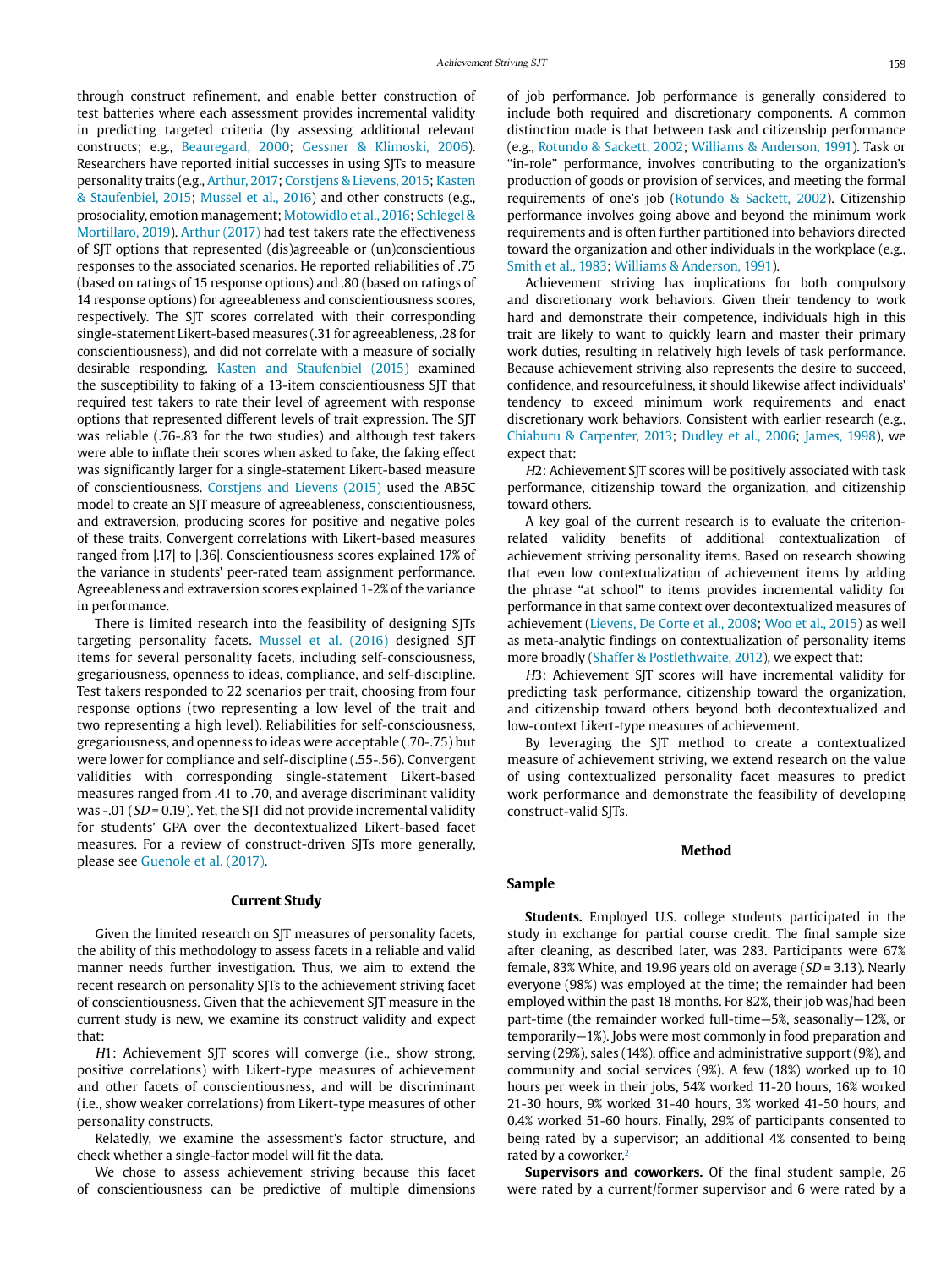through construct refinement, and enable better construction of test batteries where each assessment provides incremental validity in predicting targeted criteria (by assessing additional relevant constructs; e.g., [Beauregard, 2000](#page-9-17); [Gessner & Klimoski, 2006\)](#page-9-18). Researchers have reported initial successes in using SJTs to measure personality traits (e.g., [Arthur, 2017](#page-9-19); [Corstjens & Lievens, 2015;](#page-9-20) [Kasten](#page-9-3)  [& Staufenbiel, 2015;](#page-9-3) [Mussel et al., 2016\)](#page-10-10) and other constructs (e.g., prosociality, emotion management; [Motowidlo et al., 2016;](#page-10-11) [Schlegel &](#page-10-12)  [Mortillaro, 2019\)](#page-10-12). [Arthur \(2017\)](#page-9-19) had test takers rate the effectiveness of SJT options that represented (dis)agreeable or (un)conscientious responses to the associated scenarios. He reported reliabilities of .75 (based on ratings of 15 response options) and .80 (based on ratings of 14 response options) for agreeableness and conscientiousness scores, respectively. The SJT scores correlated with their corresponding single-statement Likert-based measures (.31 for agreeableness, .28 for conscientiousness), and did not correlate with a measure of socially desirable responding. [Kasten and Staufenbiel \(2015\)](#page-9-3) examined the susceptibility to faking of a 13-item conscientiousness SJT that required test takers to rate their level of agreement with response options that represented different levels of trait expression. The SJT was reliable (.76-.83 for the two studies) and although test takers were able to inflate their scores when asked to fake, the faking effect was significantly larger for a single-statement Likert-based measure of conscientiousness. [Corstjens and Lievens \(2015\)](#page-9-20) used the AB5C model to create an SJT measure of agreeableness, conscientiousness, and extraversion, producing scores for positive and negative poles of these traits. Convergent correlations with Likert-based measures ranged from |.17| to |.36|. Conscientiousness scores explained 17% of the variance in students' peer-rated team assignment performance. Agreeableness and extraversion scores explained 1-2% of the variance in performance.

There is limited research into the feasibility of designing SJTs targeting personality facets. [Mussel et al. \(2016\)](#page-10-10) designed SJT items for several personality facets, including self-consciousness, gregariousness, openness to ideas, compliance, and self-discipline. Test takers responded to 22 scenarios per trait, choosing from four response options (two representing a low level of the trait and two representing a high level). Reliabilities for self-consciousness, gregariousness, and openness to ideas were acceptable (.70-.75) but were lower for compliance and self-discipline (.55-.56). Convergent validities with corresponding single-statement Likert-based measures ranged from .41 to .70, and average discriminant validity was -.01 ( $SD = 0.19$ ). Yet, the SJT did not provide incremental validity for students' GPA over the decontextualized Likert-based facet measures. For a review of construct-driven SJTs more generally, please see [Guenole et al. \(2017\).](#page-9-21)

#### **Current Study**

Given the limited research on SJT measures of personality facets, the ability of this methodology to assess facets in a reliable and valid manner needs further investigation. Thus, we aim to extend the recent research on personality SJTs to the achievement striving facet of conscientiousness. Given that the achievement SJT measure in the current study is new, we examine its construct validity and expect that:

H1: Achievement SJT scores will converge (i.e., show strong, positive correlations) with Likert-type measures of achievement and other facets of conscientiousness, and will be discriminant (i.e., show weaker correlations) from Likert-type measures of other personality constructs.

Relatedly, we examine the assessment's factor structure, and check whether a single-factor model will fit the data.

We chose to assess achievement striving because this facet of conscientiousness can be predictive of multiple dimensions of job performance. Job performance is generally considered to include both required and discretionary components. A common distinction made is that between task and citizenship performance (e.g., [Rotundo & Sackett, 2002;](#page-10-13) [Williams & Anderson, 1991](#page-10-2)). Task or "in-role" performance, involves contributing to the organization's production of goods or provision of services, and meeting the formal requirements of one's job [\(Rotundo & Sackett, 2002](#page-10-13)). Citizenship performance involves going above and beyond the minimum work requirements and is often further partitioned into behaviors directed toward the organization and other individuals in the workplace (e.g., [Smith et al., 1983;](#page-10-14) [Williams & Anderson, 1991](#page-10-2)).

Achievement striving has implications for both compulsory and discretionary work behaviors. Given their tendency to work hard and demonstrate their competence, individuals high in this trait are likely to want to quickly learn and master their primary work duties, resulting in relatively high levels of task performance. Because achievement striving also represents the desire to succeed, confidence, and resourcefulness, it should likewise affect individuals' tendency to exceed minimum work requirements and enact discretionary work behaviors. Consistent with earlier research (e.g., [Chiaburu & Carpenter, 2013;](#page-9-16) [Dudley et al., 2006;](#page-9-10) [James, 1998](#page-9-22)), we expect that:

H2: Achievement SJT scores will be positively associated with task performance, citizenship toward the organization, and citizenship toward others.

A key goal of the current research is to evaluate the criterionrelated validity benefits of additional contextualization of achievement striving personality items. Based on research showing that even low contextualization of achievement items by adding the phrase "at school" to items provides incremental validity for performance in that same context over decontextualized measures of achievement [\(Lievens, De Corte et al., 2008;](#page-9-12) [Woo et al., 2015\)](#page-10-4) as well as meta-analytic findings on contextualization of personality items more broadly [\(Shaffer & Postlethwaite, 2012](#page-10-3)), we expect that:

H3: Achievement SJT scores will have incremental validity for predicting task performance, citizenship toward the organization, and citizenship toward others beyond both decontextualized and low-context Likert-type measures of achievement.

By leveraging the SJT method to create a contextualized measure of achievement striving, we extend research on the value of using contextualized personality facet measures to predict work performance and demonstrate the feasibility of developing construct-valid SJTs.

# **Method**

#### **Sample**

**Students.** Employed U.S. college students participated in the study in exchange for partial course credit. The final sample size after cleaning, as described later, was 283. Participants were 67% female, 83% White, and 19.96 years old on average ( $SD = 3.13$ ). Nearly everyone (98%) was employed at the time; the remainder had been employed within the past 18 months. For 82%, their job was/had been part-time (the remainder worked full-time—5%, seasonally—12%, or temporarily—1%). Jobs were most commonly in food preparation and serving (29%), sales (14%), office and administrative support (9%), and community and social services (9%). A few (18%) worked up to 10 hours per week in their jobs, 54% worked 11-20 hours, 16% worked 21-30 hours, 9% worked 31-40 hours, 3% worked 41-50 hours, and 0.4% worked 51-60 hours. Finally, 29% of participants consented to being rated by a supervisor; an additional 4% consented to being rated by a coworker.<sup>[2](#page-8-1)</sup>

**Supervisors and coworkers.** Of the final student sample, 26 were rated by a current/former supervisor and 6 were rated by a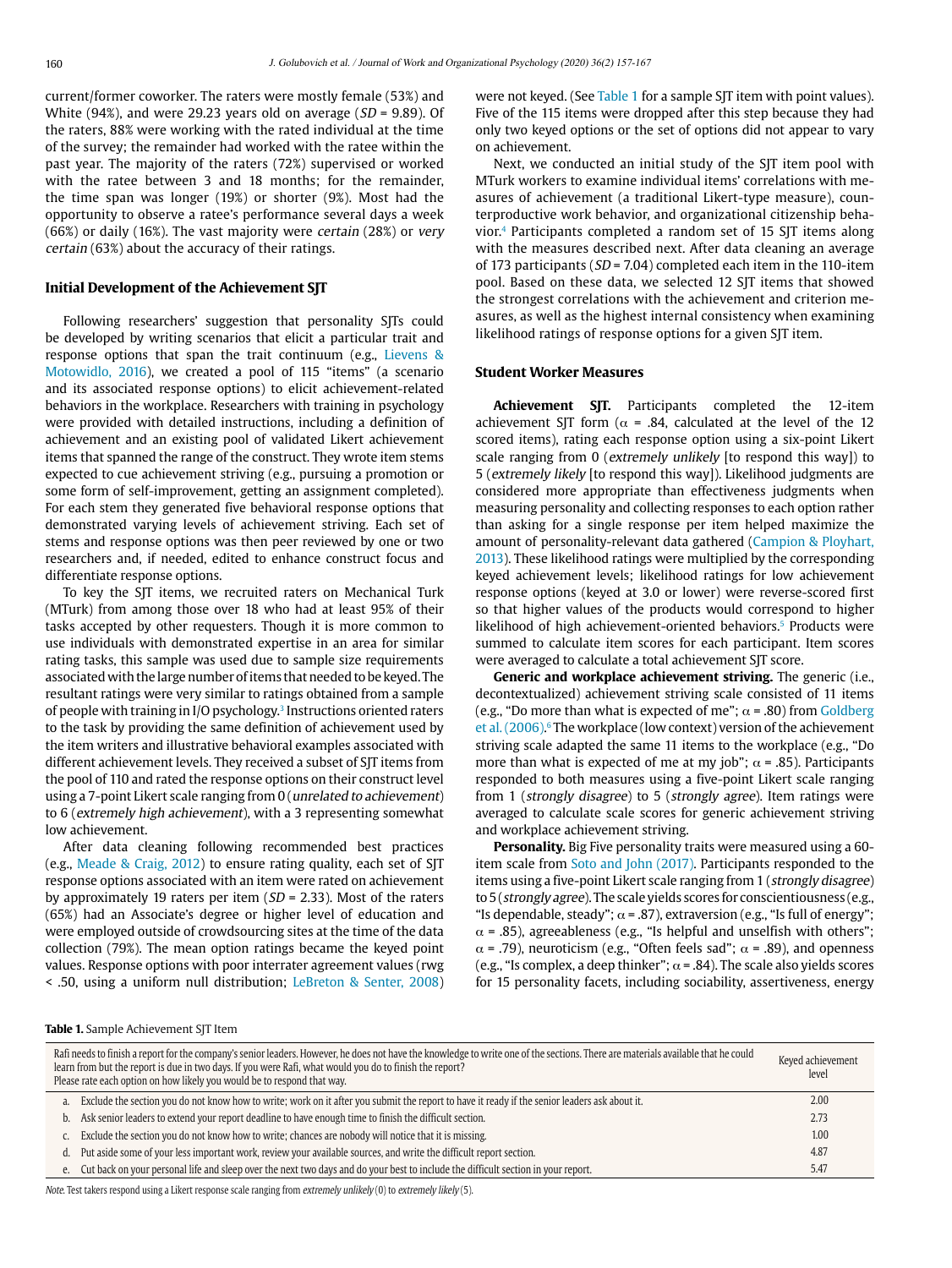current/former coworker. The raters were mostly female (53%) and White (94%), and were 29.23 years old on average ( $SD = 9.89$ ). Of the raters, 88% were working with the rated individual at the time of the survey; the remainder had worked with the ratee within the past year. The majority of the raters (72%) supervised or worked with the ratee between 3 and 18 months; for the remainder, the time span was longer (19%) or shorter (9%). Most had the opportunity to observe a ratee's performance several days a week (66%) or daily (16%). The vast majority were certain (28%) or very certain (63%) about the accuracy of their ratings.

#### **Initial Development of the Achievement SJT**

Following researchers' suggestion that personality SJTs could be developed by writing scenarios that elicit a particular trait and response options that span the trait continuum (e.g., [Lievens &](#page-9-12)  [Motowidlo, 2016\)](#page-9-12), we created a pool of 115 "items" (a scenario and its associated response options) to elicit achievement-related behaviors in the workplace. Researchers with training in psychology were provided with detailed instructions, including a definition of achievement and an existing pool of validated Likert achievement items that spanned the range of the construct. They wrote item stems expected to cue achievement striving (e.g., pursuing a promotion or some form of self-improvement, getting an assignment completed). For each stem they generated five behavioral response options that demonstrated varying levels of achievement striving. Each set of stems and response options was then peer reviewed by one or two researchers and, if needed, edited to enhance construct focus and differentiate response options.

To key the SJT items, we recruited raters on Mechanical Turk (MTurk) from among those over 18 who had at least 95% of their tasks accepted by other requesters. Though it is more common to use individuals with demonstrated expertise in an area for similar rating tasks, this sample was used due to sample size requirements associated with the large number of items that needed to be keyed. The resultant ratings were very similar to ratings obtained from a sample of people with training in I/O psychology[.3](#page-8-2) Instructions oriented raters to the task by providing the same definition of achievement used by the item writers and illustrative behavioral examples associated with different achievement levels. They received a subset of SJT items from the pool of 110 and rated the response options on their construct level using a 7-point Likert scale ranging from 0 (unrelated to achievement) to 6 (extremely high achievement), with a 3 representing somewhat low achievement.

After data cleaning following recommended best practices (e.g., [Meade & Craig, 2012](#page-10-15)) to ensure rating quality, each set of SJT response options associated with an item were rated on achievement by approximately 19 raters per item  $(SD = 2.33)$ . Most of the raters (65%) had an Associate's degree or higher level of education and were employed outside of crowdsourcing sites at the time of the data collection (79%). The mean option ratings became the keyed point values. Response options with poor interrater agreement values (rwg < .50, using a uniform null distribution; LeBreton & Senter, 2008) were not keyed. (See [Table 1](#page-3-0) for a sample SJT item with point values). Five of the 115 items were dropped after this step because they had only two keyed options or the set of options did not appear to vary on achievement.

Next, we conducted an initial study of the SJT item pool with MTurk workers to examine individual items' correlations with measures of achievement (a traditional Likert-type measure), counterproductive work behavior, and organizational citizenship behavior.<sup>4</sup> Participants completed a random set of 15 SJT items along with the measures described next. After data cleaning an average of 173 participants ( $SD = 7.04$ ) completed each item in the 110-item pool. Based on these data, we selected 12 SJT items that showed the strongest correlations with the achievement and criterion measures, as well as the highest internal consistency when examining likelihood ratings of response options for a given SJT item.

#### **Student Worker Measures**

**Achievement SJT.** Participants completed the 12-item achievement SJT form ( $\alpha$  = .84, calculated at the level of the 12 scored items), rating each response option using a six-point Likert scale ranging from 0 (extremely unlikely [to respond this way]) to 5 (extremely likely [to respond this way]). Likelihood judgments are considered more appropriate than effectiveness judgments when measuring personality and collecting responses to each option rather than asking for a single response per item helped maximize the amount of personality-relevant data gathered [\(Campion & Ployhart,](#page-9-15) [2013](#page-9-15)). These likelihood ratings were multiplied by the corresponding keyed achievement levels; likelihood ratings for low achievement response options (keyed at 3.0 or lower) were reverse-scored first so that higher values of the products would correspond to higher likelihood of high achievement-oriented behaviors.<sup>5</sup> Products were summed to calculate item scores for each participant. Item scores were averaged to calculate a total achievement SJT score.

**Generic and workplace achievement striving.** The generic (i.e., decontextualized) achievement striving scale consisted of 11 items (e.g., "Do more than what is expected of me";  $\alpha$  = .80) from [Goldberg](#page-9-24) [et al. \(2006\)](#page-9-24). [6](#page-9-25) The workplace (low context) version of the achievement striving scale adapted the same 11 items to the workplace (e.g., "Do more than what is expected of me at my job";  $\alpha$  = .85). Participants responded to both measures using a five-point Likert scale ranging from 1 (strongly disagree) to 5 (strongly agree). Item ratings were averaged to calculate scale scores for generic achievement striving and workplace achievement striving.

**Personality.** Big Five personality traits were measured using a 60 item scale from [Soto and John \(2017\)](#page-10-16). Participants responded to the items using a five-point Likert scale ranging from 1 (strongly disagree) to 5 (strongly agree). The scale yields scores for conscientiousness (e.g., "Is dependable, steady";  $\alpha$  = .87), extraversion (e.g., "Is full of energy";  $\alpha$  = .85), agreeableness (e.g., "Is helpful and unselfish with others";  $\alpha$  = .79), neuroticism (e.g., "Often feels sad";  $\alpha$  = .89), and openness (e.g., "Is complex, a deep thinker";  $\alpha$  = .84). The scale also yields scores for 15 personality facets, including sociability, assertiveness, energy

#### <span id="page-3-0"></span>**Table 1.** Sample Achievement SJT Item

| Rafi needs to finish a report for the company's senior leaders. However, he does not have the knowledge to write one of the sections. There are materials available that he could<br>learn from but the report is due in two days. If you were Rafi, what would you do to finish the report?<br>Please rate each option on how likely you would be to respond that way. |                                                                                                                                               |      |  |  |  |  |
|-------------------------------------------------------------------------------------------------------------------------------------------------------------------------------------------------------------------------------------------------------------------------------------------------------------------------------------------------------------------------|-----------------------------------------------------------------------------------------------------------------------------------------------|------|--|--|--|--|
| a.                                                                                                                                                                                                                                                                                                                                                                      | Exclude the section you do not know how to write; work on it after you submit the report to have it ready if the senior leaders ask about it. | 2.00 |  |  |  |  |
|                                                                                                                                                                                                                                                                                                                                                                         | b. Ask senior leaders to extend your report deadline to have enough time to finish the difficult section.                                     | 2.73 |  |  |  |  |
|                                                                                                                                                                                                                                                                                                                                                                         | Exclude the section you do not know how to write; chances are nobody will notice that it is missing.                                          | 1.00 |  |  |  |  |
| d.                                                                                                                                                                                                                                                                                                                                                                      | Put aside some of your less important work, review your available sources, and write the difficult report section.                            | 4.87 |  |  |  |  |
| e.                                                                                                                                                                                                                                                                                                                                                                      | Cut back on your personal life and sleep over the next two days and do your best to include the difficult section in your report.             | 5.47 |  |  |  |  |

Note. Test takers respond using a Likert response scale ranging from extremely unlikely (0) to extremely likely (5).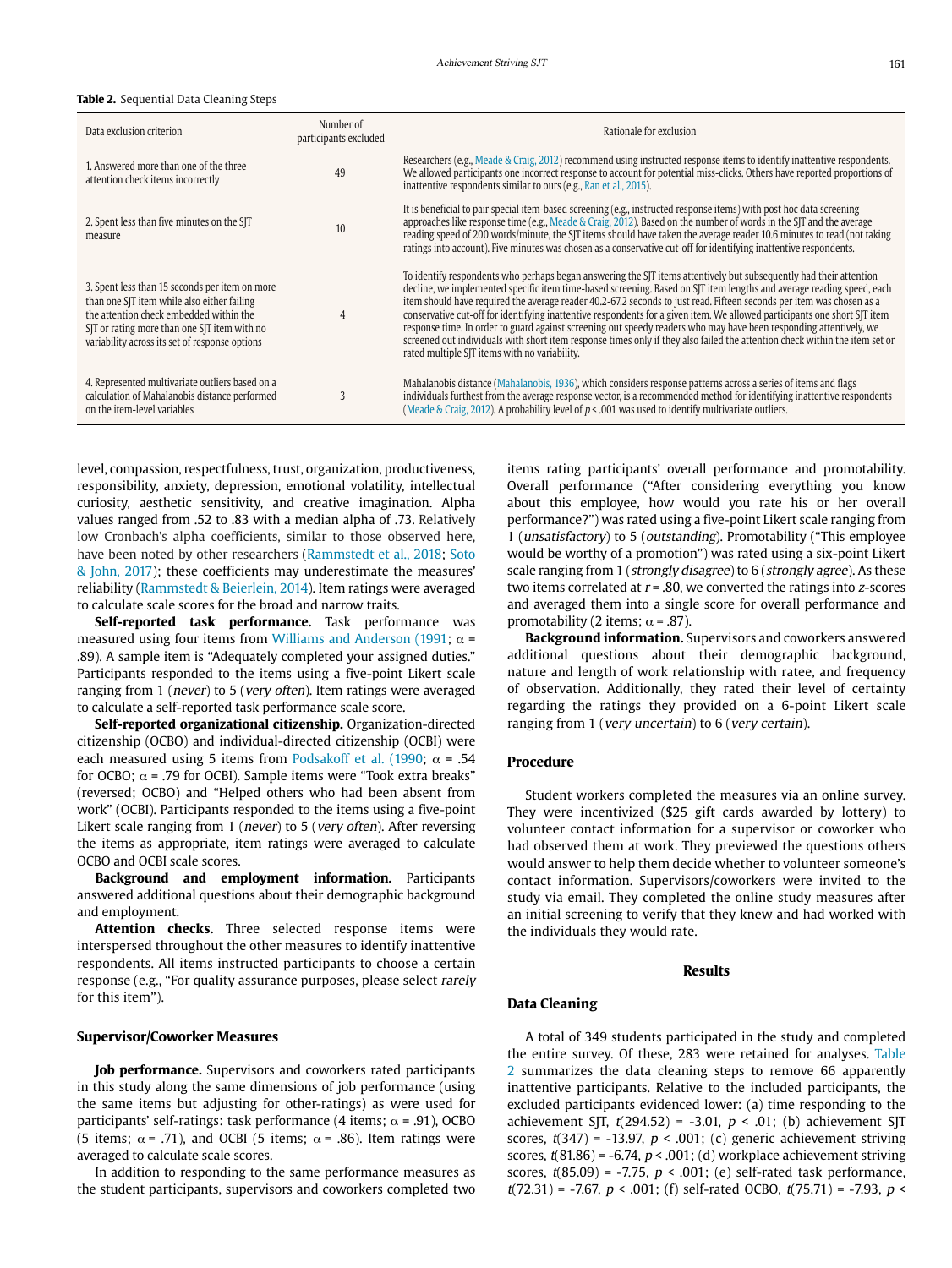#### <span id="page-4-0"></span>**Table 2.** Sequential Data Cleaning Steps

| Data exclusion criterion                                                                                                                                                                                                                   | Number of<br>participants excluded | Rationale for exclusion                                                                                                                                                                                                                                                                                                                                                                                                                                                                                                                                                                                                                                                                                                                                                                                 |
|--------------------------------------------------------------------------------------------------------------------------------------------------------------------------------------------------------------------------------------------|------------------------------------|---------------------------------------------------------------------------------------------------------------------------------------------------------------------------------------------------------------------------------------------------------------------------------------------------------------------------------------------------------------------------------------------------------------------------------------------------------------------------------------------------------------------------------------------------------------------------------------------------------------------------------------------------------------------------------------------------------------------------------------------------------------------------------------------------------|
| 1. Answered more than one of the three<br>attention check items incorrectly                                                                                                                                                                | 49                                 | Researchers (e.g., Meade & Craig, 2012) recommend using instructed response items to identify inattentive respondents.<br>We allowed participants one incorrect response to account for potential miss-clicks. Others have reported proportions of<br>inattentive respondents similar to ours (e.g., Ran et al., 2015).                                                                                                                                                                                                                                                                                                                                                                                                                                                                                 |
| 2. Spent less than five minutes on the SJT<br>measure                                                                                                                                                                                      | 10                                 | It is beneficial to pair special item-based screening (e.g., instructed response items) with post hoc data screening<br>approaches like response time (e.g., Meade & Craig, 2012). Based on the number of words in the SJT and the average<br>reading speed of 200 words/minute, the SJT items should have taken the average reader 10.6 minutes to read (not taking<br>ratings into account). Five minutes was chosen as a conservative cut-off for identifying inattentive respondents.                                                                                                                                                                                                                                                                                                               |
| 3. Spent less than 15 seconds per item on more<br>than one SJT item while also either failing<br>the attention check embedded within the<br>SIT or rating more than one SIT item with no<br>variability across its set of response options |                                    | To identify respondents who perhaps began answering the SJT items attentively but subsequently had their attention<br>decline, we implemented specific item time-based screening. Based on SJT item lengths and average reading speed, each<br>item should have required the average reader 40.2-67.2 seconds to just read. Fifteen seconds per item was chosen as a<br>conservative cut-off for identifying inattentive respondents for a given item. We allowed participants one short SJT item<br>response time. In order to guard against screening out speedy readers who may have been responding attentively, we<br>screened out individuals with short item response times only if they also failed the attention check within the item set or<br>rated multiple SJT items with no variability. |
| 4. Represented multivariate outliers based on a<br>calculation of Mahalanobis distance performed<br>on the item-level variables                                                                                                            | $\mathbf{3}$                       | Mahalanobis distance (Mahalanobis, 1936), which considers response patterns across a series of items and flags<br>individuals furthest from the average response vector, is a recommended method for identifying inattentive respondents<br>(Meade & Craig, 2012). A probability level of $p < .001$ was used to identify multivariate outliers.                                                                                                                                                                                                                                                                                                                                                                                                                                                        |

level, compassion, respectfulness, trust, organization, productiveness, responsibility, anxiety, depression, emotional volatility, intellectual curiosity, aesthetic sensitivity, and creative imagination. Alpha values ranged from .52 to .83 with a median alpha of .73. Relatively low Cronbach's alpha coefficients, similar to those observed here, have been noted by other researchers [\(Rammstedt et al., 2018](#page-10-17); [Soto](#page-10-16)  [& John, 2017](#page-10-16)); these coefficients may underestimate the measures' reliability [\(Rammstedt & Beierlein, 2014\)](#page-10-17). Item ratings were averaged to calculate scale scores for the broad and narrow traits.

**Self-reported task performance.** Task performance was measured using four items from [Williams and Anderson \(1991](#page-10-2);  $\alpha$  = .89). A sample item is "Adequately completed your assigned duties." Participants responded to the items using a five-point Likert scale ranging from 1 (never) to 5 (very often). Item ratings were averaged to calculate a self-reported task performance scale score.

**Self-reported organizational citizenship.** Organization-directed citizenship (OCBO) and individual-directed citizenship (OCBI) were each measured using 5 items from [Podsakoff et al. \(1990;](#page-10-18)  $\alpha$  = .54 for OCBO;  $\alpha$  = .79 for OCBI). Sample items were "Took extra breaks" (reversed; OCBO) and "Helped others who had been absent from work" (OCBI). Participants responded to the items using a five-point Likert scale ranging from 1 (never) to 5 (very often). After reversing the items as appropriate, item ratings were averaged to calculate OCBO and OCBI scale scores.

**Background and employment information.** Participants answered additional questions about their demographic background and employment.

**Attention checks.** Three selected response items were interspersed throughout the other measures to identify inattentive respondents. All items instructed participants to choose a certain response (e.g., "For quality assurance purposes, please select rarely for this item").

#### **Supervisor/Coworker Measures**

**Job performance.** Supervisors and coworkers rated participants in this study along the same dimensions of job performance (using the same items but adjusting for other-ratings) as were used for participants' self-ratings: task performance (4 items;  $\alpha$  = .91), OCBO (5 items;  $\alpha$  = .71), and OCBI (5 items;  $\alpha$  = .86). Item ratings were averaged to calculate scale scores.

In addition to responding to the same performance measures as the student participants, supervisors and coworkers completed two items rating participants' overall performance and promotability. Overall performance ("After considering everything you know about this employee, how would you rate his or her overall performance?") was rated using a five-point Likert scale ranging from 1 (unsatisfactory) to 5 (outstanding). Promotability ("This employee would be worthy of a promotion") was rated using a six-point Likert scale ranging from 1 (strongly disagree) to 6 (strongly agree). As these two items correlated at  $r = .80$ , we converted the ratings into z-scores and averaged them into a single score for overall performance and promotability (2 items;  $\alpha$  = .87).

**Background information.** Supervisors and coworkers answered additional questions about their demographic background, nature and length of work relationship with ratee, and frequency of observation. Additionally, they rated their level of certainty regarding the ratings they provided on a 6-point Likert scale ranging from 1 (very uncertain) to 6 (very certain).

#### **Procedure**

Student workers completed the measures via an online survey. They were incentivized (\$25 gift cards awarded by lottery) to volunteer contact information for a supervisor or coworker who had observed them at work. They previewed the questions others would answer to help them decide whether to volunteer someone's contact information. Supervisors/coworkers were invited to the study via email. They completed the online study measures after an initial screening to verify that they knew and had worked with the individuals they would rate.

#### **Results**

#### **Data Cleaning**

A total of 349 students participated in the study and completed the entire survey. Of these, 283 were retained for analyses. [Table](#page-4-0)  [2](#page-4-0) summarizes the data cleaning steps to remove 66 apparently inattentive participants. Relative to the included participants, the excluded participants evidenced lower: (a) time responding to the achievement SJT,  $t(294.52) = -3.01$ ,  $p < .01$ ; (b) achievement SJT scores,  $t(347) = -13.97$ ,  $p < .001$ ; (c) generic achievement striving scores,  $t(81.86) = -6.74$ ,  $p < .001$ ; (d) workplace achievement striving scores,  $t(85.09) = -7.75$ ,  $p < .001$ ; (e) self-rated task performance,  $t(72.31) = -7.67$ ,  $p < .001$ ; (f) self-rated OCBO,  $t(75.71) = -7.93$ ,  $p <$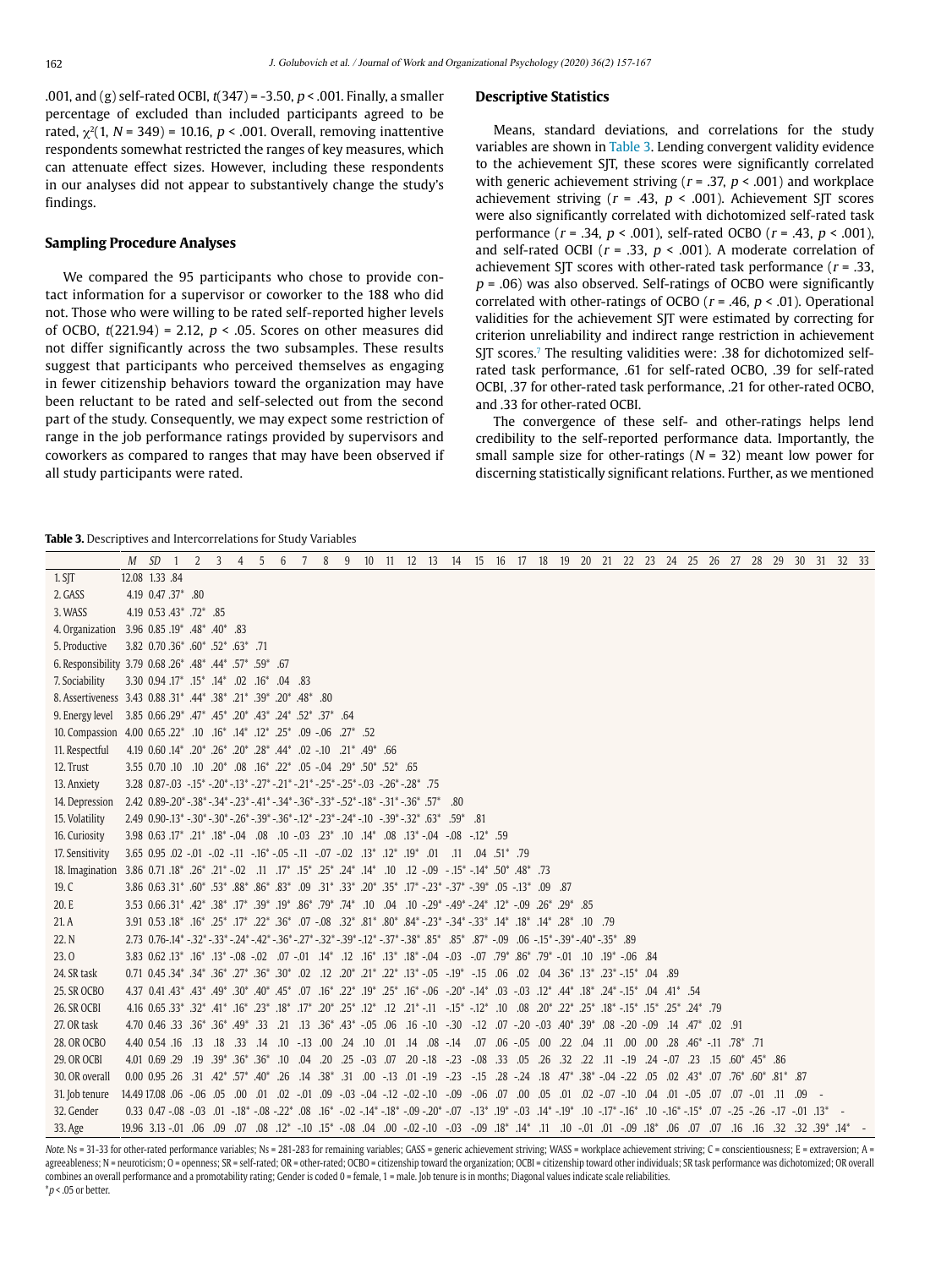.001, and (g) self-rated OCBI,  $t(347) = -3.50$ ,  $p < .001$ . Finally, a smaller percentage of excluded than included participants agreed to be rated,  $\chi^2(1, N = 349) = 10.16$ ,  $p < .001$ . Overall, removing inattentive respondents somewhat restricted the ranges of key measures, which can attenuate effect sizes. However, including these respondents in our analyses did not appear to substantively change the study's findings.

#### **Sampling Procedure Analyses**

We compared the 95 participants who chose to provide contact information for a supervisor or coworker to the 188 who did not. Those who were willing to be rated self-reported higher levels of OCBO,  $t(221.94) = 2.12$ ,  $p < .05$ . Scores on other measures did not differ significantly across the two subsamples. These results suggest that participants who perceived themselves as engaging in fewer citizenship behaviors toward the organization may have been reluctant to be rated and self-selected out from the second part of the study. Consequently, we may expect some restriction of range in the job performance ratings provided by supervisors and coworkers as compared to ranges that may have been observed if all study participants were rated.

#### **Descriptive Statistics**

Means, standard deviations, and correlations for the study variables are shown in [Table 3](#page-5-0). Lending convergent validity evidence to the achievement SJT, these scores were significantly correlated with generic achievement striving ( $r = .37$ ,  $p < .001$ ) and workplace achievement striving ( $r = .43$ ,  $p < .001$ ). Achievement SJT scores were also significantly correlated with dichotomized self-rated task performance ( $r = .34$ ,  $p < .001$ ), self-rated OCBO ( $r = .43$ ,  $p < .001$ ), and self-rated OCBI ( $r = .33$ ,  $p < .001$ ). A moderate correlation of achievement SJT scores with other-rated task performance ( $r = .33$ ,  $p = .06$ ) was also observed. Self-ratings of OCBO were significantly correlated with other-ratings of OCBO ( $r = .46$ ,  $p < .01$ ). Operational validities for the achievement SJT were estimated by correcting for criterion unreliability and indirect range restriction in achievement SJT scores.<sup>7</sup> The resulting validities were: .38 for dichotomized selfrated task performance, .61 for self-rated OCBO, .39 for self-rated OCBI, .37 for other-rated task performance, .21 for other-rated OCBO, and .33 for other-rated OCBI.

The convergence of these self- and other-ratings helps lend credibility to the self-reported performance data. Importantly, the small sample size for other-ratings ( $N = 32$ ) meant low power for discerning statistically significant relations. Further, as we mentioned

#### <span id="page-5-0"></span>**Table 3.** Descriptives and Intercorrelations for Study Variables

|                                                                                                                 |                | M SD                                                                                                                                                                                                                                      | -1 | 2 | 3 4 5 |  | 6 | 7 | 8 |  |  | 9 10 11 12 13 14 15 16 17 18 19 20 21 22 23 24 25 26 27 28 29 30 31 32 33 |  |  |  |  |  |  |  |  |  |  |
|-----------------------------------------------------------------------------------------------------------------|----------------|-------------------------------------------------------------------------------------------------------------------------------------------------------------------------------------------------------------------------------------------|----|---|-------|--|---|---|---|--|--|---------------------------------------------------------------------------|--|--|--|--|--|--|--|--|--|--|
| 1. SIT                                                                                                          | 12.08 1.33 .84 |                                                                                                                                                                                                                                           |    |   |       |  |   |   |   |  |  |                                                                           |  |  |  |  |  |  |  |  |  |  |
| 2. GASS                                                                                                         |                | 4.19 0.47 .37* .80                                                                                                                                                                                                                        |    |   |       |  |   |   |   |  |  |                                                                           |  |  |  |  |  |  |  |  |  |  |
| 3. WASS                                                                                                         |                | 4.19 0.53 .43* .72* .85                                                                                                                                                                                                                   |    |   |       |  |   |   |   |  |  |                                                                           |  |  |  |  |  |  |  |  |  |  |
| 4. Organization 3.96 0.85 .19 *.48 *.40 *.83                                                                    |                |                                                                                                                                                                                                                                           |    |   |       |  |   |   |   |  |  |                                                                           |  |  |  |  |  |  |  |  |  |  |
| 5. Productive                                                                                                   |                | 3.82 0.70 .36* .60* .52* .63* .71                                                                                                                                                                                                         |    |   |       |  |   |   |   |  |  |                                                                           |  |  |  |  |  |  |  |  |  |  |
|                                                                                                                 |                |                                                                                                                                                                                                                                           |    |   |       |  |   |   |   |  |  |                                                                           |  |  |  |  |  |  |  |  |  |  |
| 7. Sociability                                                                                                  |                | 83. 04. 64. 02. 04. 02. 04. 03. 0.94. 07. 04.                                                                                                                                                                                             |    |   |       |  |   |   |   |  |  |                                                                           |  |  |  |  |  |  |  |  |  |  |
| 80. 48* 20* 20* 20* 20* 20* 48* 80. 44* 21* 21* 21* 20* 20* 8. Assertiveness 3.43 0.88                          |                |                                                                                                                                                                                                                                           |    |   |       |  |   |   |   |  |  |                                                                           |  |  |  |  |  |  |  |  |  |  |
| 9. Energy level 3.85 0.66 .29* .47* .45* .20* .43* .24* .52* .37* .64                                           |                |                                                                                                                                                                                                                                           |    |   |       |  |   |   |   |  |  |                                                                           |  |  |  |  |  |  |  |  |  |  |
| 10. Compassion 4.00 0.65 .22* .10 .16* .14* .12* .25* .09 .06 .27* .52                                          |                |                                                                                                                                                                                                                                           |    |   |       |  |   |   |   |  |  |                                                                           |  |  |  |  |  |  |  |  |  |  |
| 11. Respectful                                                                                                  |                | 4.19 0.60 .44 * 0.2 .10 .10 .21 * 0.44 .19 0.60 .14 * 0.2 .46 .20 * 0.44 .19 0.60 0.44                                                                                                                                                    |    |   |       |  |   |   |   |  |  |                                                                           |  |  |  |  |  |  |  |  |  |  |
| 12. Trust                                                                                                       |                | 65. *52. *50. *29. 29. 05. *20. *22. *16. 08. *20. 10. 10. 10. 52.                                                                                                                                                                        |    |   |       |  |   |   |   |  |  |                                                                           |  |  |  |  |  |  |  |  |  |  |
| 13. Anxiety                                                                                                     |                | $3.28$ $0.87-0.03$ $-15^*$ $-20^*$ $-13^*$ $-27^*$ $-21^*$ $-21^*$ $-25^*$ $-25^*$ $-0.03$ $-26^*$ $-28^*$ $-75$                                                                                                                          |    |   |       |  |   |   |   |  |  |                                                                           |  |  |  |  |  |  |  |  |  |  |
| 14. Depression                                                                                                  |                | $2.42$ $0.89$ - $20^*$ - $38^*$ - $34^*$ - $23^*$ - $41^*$ - $34^*$ - $36^*$ - $33^*$ - $52^*$ - $18^*$ - $31^*$ - $36^*$ . $57^*$ .80                                                                                                    |    |   |       |  |   |   |   |  |  |                                                                           |  |  |  |  |  |  |  |  |  |  |
| 15. Volatility                                                                                                  |                | $2.49$ $0.90-13$ $-30$ $-30$ $-26$ $-39$ $-39$ $-36$ $-12$ $-23$ $-24$ $-10$ $-39$ $-32$ $-32$ $-63$ $-59$ $-81$                                                                                                                          |    |   |       |  |   |   |   |  |  |                                                                           |  |  |  |  |  |  |  |  |  |  |
| 16. Curiosity                                                                                                   |                | 59. <sup>4</sup> - 12. - 08. - 04. <sup>2</sup> - 13. 08. <sup>4</sup> - 14. 10. <sup>42</sup> . 03. - 10. 08. 04. <sup>2</sup> - 18. <sup>2</sup> - 17. 23. 0.63. 3.98                                                                   |    |   |       |  |   |   |   |  |  |                                                                           |  |  |  |  |  |  |  |  |  |  |
| 17. Sensitivity                                                                                                 |                | 99. *51. 04. 11. 01. *10. *10. *10. 12. *10. 07. -11. -07. 11. -10. 10. -10. 0. -10. 0. -10. 10. 3.6                                                                                                                                      |    |   |       |  |   |   |   |  |  |                                                                           |  |  |  |  |  |  |  |  |  |  |
| 73. 48* 50* 50* 14* 50* 14* 10. 12 -.09 -.15* 14* 25* 15* 15* 15* 15* 17* 15* 17* 18* 18* 18* 18* 18* 18* 18* 1 |                |                                                                                                                                                                                                                                           |    |   |       |  |   |   |   |  |  |                                                                           |  |  |  |  |  |  |  |  |  |  |
| 19. C                                                                                                           |                | 87. 09. 13* 0.1. 09. 10* 17* -23* -37* -37* 20* 33* 09. 13* 09. 13* 38* 88* 58. 20* 15. 15* 0.0. 31* 3.86                                                                                                                                 |    |   |       |  |   |   |   |  |  |                                                                           |  |  |  |  |  |  |  |  |  |  |
| 20.E                                                                                                            |                | 85. *29. *29. *20. *12. *24. *29. -29. -10. .00. 10. *29. *39. *10. *39. *10. *39. *35. *34. *38. *35. 0.66. *31.                                                                                                                         |    |   |       |  |   |   |   |  |  |                                                                           |  |  |  |  |  |  |  |  |  |  |
| 21.A                                                                                                            |                | 97. 10. 28*. 14*. 18*. 14*. 28*. 14*. 25*. 24*. 28*. 17*. 28*. 28. 07. 07. 26*. 26*. 17*. 25*. 16*. 18*. 15*. 25*. 25*.                                                                                                                   |    |   |       |  |   |   |   |  |  |                                                                           |  |  |  |  |  |  |  |  |  |  |
| 22. N                                                                                                           |                | $2.73$ $0.76$ - $14^*$ - $32^*$ - $33^*$ - $24^*$ - $42^*$ - $35^*$ - $27^*$ - $32^*$ - $39^*$ - $12^*$ - $37^*$ - $38^*$ $35^*$ $35^*$ $35^*$ $37^*$ - $09$ $06$ - $15^*$ - $39^*$ - $40^*$ - $35^*$ $389^*$                             |    |   |       |  |   |   |   |  |  |                                                                           |  |  |  |  |  |  |  |  |  |  |
| 23.0                                                                                                            |                | 84. 06. *10. 10. 10. *79. *86. *79. 07. - 03. - 14. *13. *13. *13. 11. *14. 01. -07. 02. -08. *13. *15. *15. 25. 3.83.                                                                                                                    |    |   |       |  |   |   |   |  |  |                                                                           |  |  |  |  |  |  |  |  |  |  |
| 24. SR task                                                                                                     |                | 0.8 0.4 1.5* 23* 1.3* 1.3* 1.6* 0.0 0.0 1.5 1.5* 1.6* 1.5* 2.2* 1.3* 2.2* 1.8* 1.6* 1.6* 1.5* 1.5* 1.6* 3.4* 1.6* 0.71 0.45. 1.89                                                                                                         |    |   |       |  |   |   |   |  |  |                                                                           |  |  |  |  |  |  |  |  |  |  |
| 25. SR OCBO                                                                                                     |                | 54. <sup>*</sup> 11. 04. <sup>*</sup> 15. <sup>*</sup> 24. <sup>*24</sup> . <sup>*</sup> 42. <sup>*</sup> 42. 03. - 03. - 14. <sup>*</sup> 20. - 16. -16. -16. *22. *10. <sup>+</sup> 20. *20. *20. *30. *30. *40. *30. *40. *43. *43. 15 |    |   |       |  |   |   |   |  |  |                                                                           |  |  |  |  |  |  |  |  |  |  |
| 26. SR OCBI                                                                                                     |                | 79. 25* 15*. 15* 15*. 15* 18*. 22* 25*. 10. 10. 15*. 11- 11-. 11- 11. 12. 12. 21*. 27*. 27*. 17*. 15* 17*. 17* 25* 18*. 15*. 25*. 27*. 41*. 16*. 25*. 27*. 15*. 27*. 27*. 17*. 27*. 27*. 17*. 27*. 27*. 27*. 27*. 27*. 27*. 27            |    |   |       |  |   |   |   |  |  |                                                                           |  |  |  |  |  |  |  |  |  |  |
| 27. OR task                                                                                                     |                |                                                                                                                                                                                                                                           |    |   |       |  |   |   |   |  |  |                                                                           |  |  |  |  |  |  |  |  |  |  |
| 28. OR OCBO                                                                                                     |                |                                                                                                                                                                                                                                           |    |   |       |  |   |   |   |  |  |                                                                           |  |  |  |  |  |  |  |  |  |  |
| <b>29. OR OCBI</b>                                                                                              |                |                                                                                                                                                                                                                                           |    |   |       |  |   |   |   |  |  |                                                                           |  |  |  |  |  |  |  |  |  |  |
| 30. OR overall                                                                                                  |                | 87. 57°, 60°, 707. 70. 703. 92. -24. 38°, 74. 18. 24. 25. 15. 28. -25. 19. 10. 15. 10. 15. 16. 16. 26 16. 27. 28. 17. 28. 29. 000.                                                                                                        |    |   |       |  |   |   |   |  |  |                                                                           |  |  |  |  |  |  |  |  |  |  |
| 31. Job tenure                                                                                                  |                |                                                                                                                                                                                                                                           |    |   |       |  |   |   |   |  |  |                                                                           |  |  |  |  |  |  |  |  |  |  |
| 32. Gender                                                                                                      |                |                                                                                                                                                                                                                                           |    |   |       |  |   |   |   |  |  |                                                                           |  |  |  |  |  |  |  |  |  |  |
| 33. Age                                                                                                         |                |                                                                                                                                                                                                                                           |    |   |       |  |   |   |   |  |  |                                                                           |  |  |  |  |  |  |  |  |  |  |

Note. Ns = 31-33 for other-rated performance variables; Ns = 281-283 for remaining variables; GASS = generic achievement striving; WASS = workplace achievement striving; C = conscientiousness; E = extraversion; A = agreeableness; N = neuroticism; O = openness; SR = self-rated; OR = other-rated; OCBO = citizenship toward the organization; OCBI = citizenship toward other individuals; SR task performance was dichotomized; OR overall combines an overall performance and a promotability rating; Gender is coded 0 = female, 1 = male. Job tenure is in months; Diagonal values indicate scale reliabilities.  $*p$  < .05 or better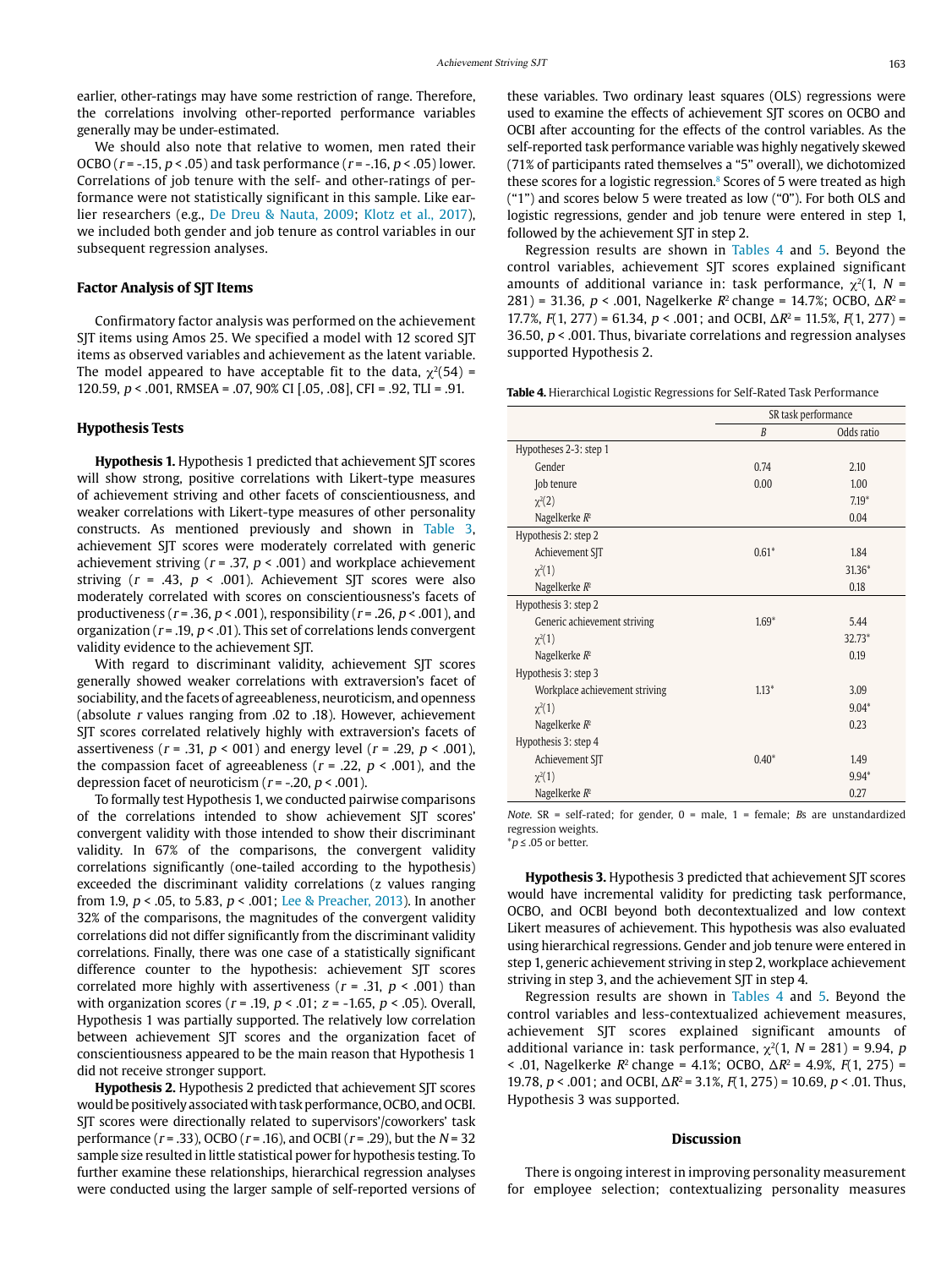earlier, other-ratings may have some restriction of range. Therefore, the correlations involving other-reported performance variables generally may be under-estimated.

We should also note that relative to women, men rated their OCBO ( $r = -0.15$ ,  $p < 0.05$ ) and task performance ( $r = -0.16$ ,  $p < 0.05$ ) lower. Correlations of job tenure with the self- and other-ratings of performance were not statistically significant in this sample. Like earlier researchers (e.g., [De Dreu & Nauta, 2009;](#page-9-27) [Klotz et al., 2017\)](#page-9-28), we included both gender and job tenure as control variables in our subsequent regression analyses.

#### **Factor Analysis of SJT Items**

Confirmatory factor analysis was performed on the achievement SJT items using Amos 25. We specified a model with 12 scored SJT items as observed variables and achievement as the latent variable. The model appeared to have acceptable fit to the data,  $\gamma^2$ (54) = 120.59, p < .001, RMSEA = .07, 90% CI [.05, .08], CFI = .92, TLI = .91.

### **Hypothesis Tests**

**Hypothesis 1.** Hypothesis 1 predicted that achievement SJT scores will show strong, positive correlations with Likert-type measures of achievement striving and other facets of conscientiousness, and weaker correlations with Likert-type measures of other personality constructs. As mentioned previously and shown in [Table 3,](#page-5-0) achievement SJT scores were moderately correlated with generic achievement striving ( $r = .37$ ,  $p < .001$ ) and workplace achievement striving ( $r = .43$ ,  $p < .001$ ). Achievement SJT scores were also moderately correlated with scores on conscientiousness's facets of productiveness ( $r = .36$ ,  $p < .001$ ), responsibility ( $r = .26$ ,  $p < .001$ ), and organization ( $r = .19$ ,  $p < .01$ ). This set of correlations lends convergent validity evidence to the achievement SJT.

With regard to discriminant validity, achievement SJT scores generally showed weaker correlations with extraversion's facet of sociability, and the facets of agreeableness, neuroticism, and openness (absolute r values ranging from .02 to .18). However, achievement SJT scores correlated relatively highly with extraversion's facets of assertiveness ( $r = .31$ ,  $p < 001$ ) and energy level ( $r = .29$ ,  $p < .001$ ), the compassion facet of agreeableness ( $r = .22$ ,  $p < .001$ ), and the depression facet of neuroticism ( $r = -20$ ,  $p < .001$ ).

To formally test Hypothesis 1, we conducted pairwise comparisons of the correlations intended to show achievement SJT scores' convergent validity with those intended to show their discriminant validity. In 67% of the comparisons, the convergent validity correlations significantly (one-tailed according to the hypothesis) exceeded the discriminant validity correlations (z values ranging from 1.9, p < .05, to 5.83, p < .001; [Lee & Preacher, 2013](#page-9-29)). In another 32% of the comparisons, the magnitudes of the convergent validity correlations did not differ significantly from the discriminant validity correlations. Finally, there was one case of a statistically significant difference counter to the hypothesis: achievement SJT scores correlated more highly with assertiveness ( $r = .31$ ,  $p < .001$ ) than with organization scores ( $r = .19$ ,  $p < .01$ ;  $z = -1.65$ ,  $p < .05$ ). Overall, Hypothesis 1 was partially supported. The relatively low correlation between achievement SJT scores and the organization facet of conscientiousness appeared to be the main reason that Hypothesis 1 did not receive stronger support.

**Hypothesis 2.** Hypothesis 2 predicted that achievement SJT scores would be positively associated with task performance, OCBO, and OCBI. SJT scores were directionally related to supervisors'/coworkers' task performance ( $r = .33$ ), OCBO ( $r = .16$ ), and OCBI ( $r = .29$ ), but the  $N = 32$ sample size resulted in little statistical power for hypothesis testing. To further examine these relationships, hierarchical regression analyses were conducted using the larger sample of self-reported versions of these variables. Two ordinary least squares (OLS) regressions were used to examine the effects of achievement SJT scores on OCBO and OCBI after accounting for the effects of the control variables. As the self-reported task performance variable was highly negatively skewed (71% of participants rated themselves a "5" overall), we dichotomized these scores for a logistic regression.<sup>8</sup> Scores of 5 were treated as high ("1") and scores below 5 were treated as low ("0"). For both OLS and logistic regressions, gender and job tenure were entered in step 1, followed by the achievement SIT in step 2.

Regression results are shown in [Tables 4](#page-6-0) and [5](#page-7-0). Beyond the control variables, achievement SJT scores explained significant amounts of additional variance in: task performance,  $\chi^2(1, N =$ 281) = 31.36,  $p < .001$ , Nagelkerke  $R^2$  change = 14.7%; OCBO, Δ $R^2$  = 17.7%,  $F(1, 277) = 61.34$ ,  $p < .001$ ; and OCBI,  $\Delta R^2 = 11.5$ %,  $F(1, 277) =$ 36.50,  $p < 0.001$ . Thus, bivariate correlations and regression analyses supported Hypothesis 2.

<span id="page-6-0"></span>**Table 4.** Hierarchical Logistic Regressions for Self-Rated Task Performance

|                                | SR task performance |            |  |  |  |  |
|--------------------------------|---------------------|------------|--|--|--|--|
|                                | $\boldsymbol{B}$    | Odds ratio |  |  |  |  |
| Hypotheses 2-3: step 1         |                     |            |  |  |  |  |
| Gender                         | 0.74                | 2.10       |  |  |  |  |
| Job tenure                     | 0.00                | 1.00       |  |  |  |  |
| $\chi^2(2)$                    |                     | $7.19*$    |  |  |  |  |
| Nagelkerke $R^2$               |                     | 0.04       |  |  |  |  |
| Hypothesis 2: step 2           |                     |            |  |  |  |  |
| Achievement SJT                | $0.61*$             | 1.84       |  |  |  |  |
| $\chi^2(1)$                    |                     | 31.36*     |  |  |  |  |
| Nagelkerke $R^2$               |                     | 0.18       |  |  |  |  |
| Hypothesis 3: step 2           |                     |            |  |  |  |  |
| Generic achievement striving   | $1.69*$             | 5.44       |  |  |  |  |
| $\chi^2(1)$                    |                     | 32.73*     |  |  |  |  |
| Nagelkerke $R^2$               |                     | 0.19       |  |  |  |  |
| Hypothesis 3: step 3           |                     |            |  |  |  |  |
| Workplace achievement striving | $1.13*$             | 3.09       |  |  |  |  |
| $\chi^2(1)$                    |                     | $9.04*$    |  |  |  |  |
| Nagelkerke $R^2$               |                     | 0.23       |  |  |  |  |
| Hypothesis 3: step 4           |                     |            |  |  |  |  |
| Achievement SJT                | $0.40*$             | 1.49       |  |  |  |  |
| $\chi^2(1)$                    |                     | $9.94*$    |  |  |  |  |
| Nagelkerke $R^2$               |                     | 0.27       |  |  |  |  |

Note.  $SR = self-rated$ ; for gender,  $0 = male$ ,  $1 = female$ ;  $Bs$  are unstandardized regression weights.

 $*$ *p* ≤ .05 or better.

**Hypothesis 3.** Hypothesis 3 predicted that achievement SJT scores would have incremental validity for predicting task performance, OCBO, and OCBI beyond both decontextualized and low context Likert measures of achievement. This hypothesis was also evaluated using hierarchical regressions. Gender and job tenure were entered in step 1, generic achievement striving in step 2, workplace achievement striving in step 3, and the achievement SJT in step 4.

Regression results are shown in [Tables 4](#page-6-0) and [5](#page-7-0). Beyond the control variables and less-contextualized achievement measures, achievement SJT scores explained significant amounts of additional variance in: task performance,  $\chi^2(1, N = 281) = 9.94$ , p < .01, Nagelkerke  $R^2$  change = 4.1%; OCBO,  $\Delta R^2$  = 4.9%,  $F(1, 275)$  = 19.78,  $p < .001$ ; and OCBI,  $\Delta R^2 = 3.1\%$ ,  $F(1, 275) = 10.69$ ,  $p < .01$ . Thus, Hypothesis 3 was supported.

#### **Discussion**

There is ongoing interest in improving personality measurement for employee selection; contextualizing personality measures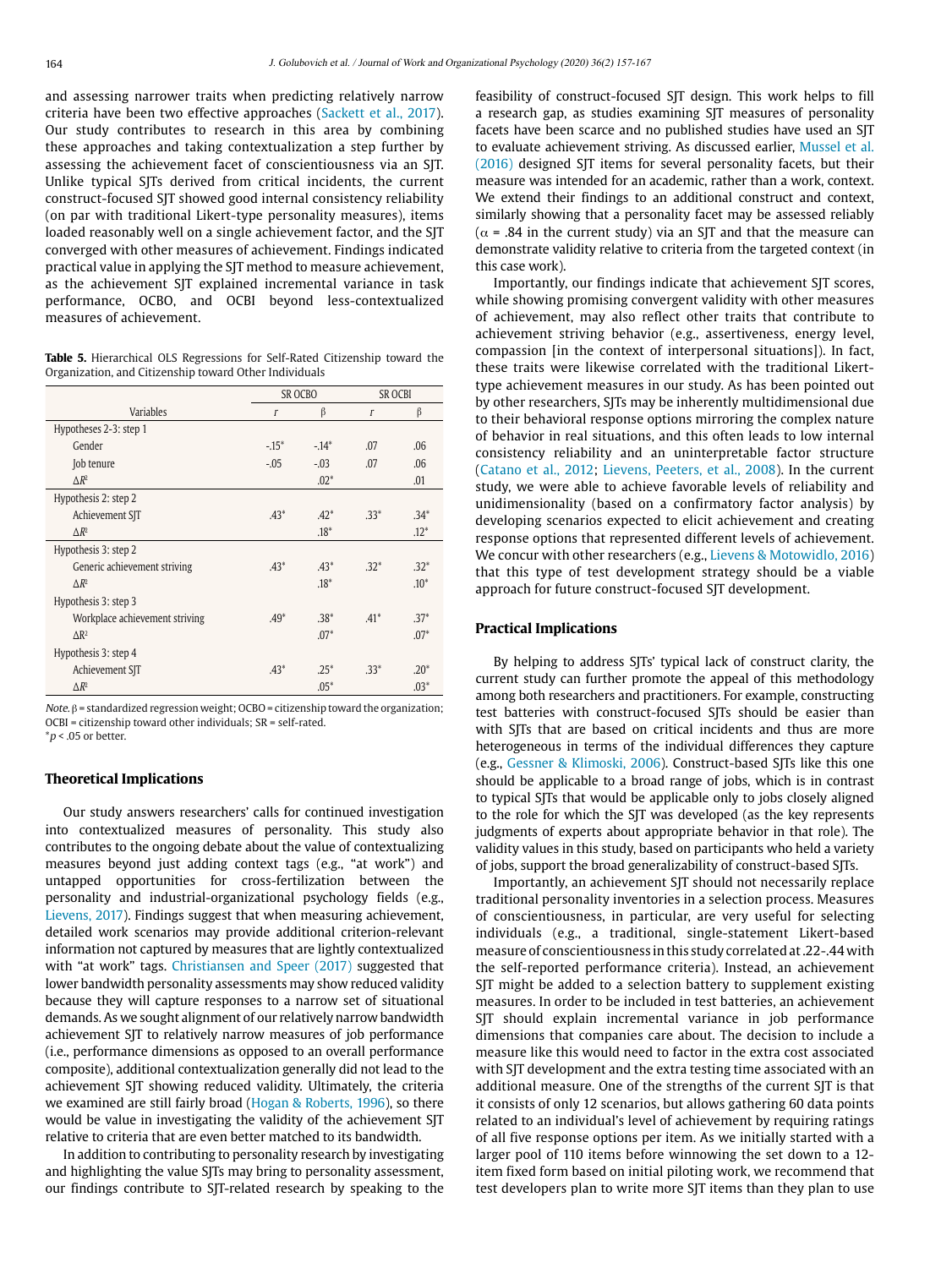and assessing narrower traits when predicting relatively narrow criteria have been two effective approaches [\(Sackett et al., 2017\)](#page-10-0). Our study contributes to research in this area by combining these approaches and taking contextualization a step further by assessing the achievement facet of conscientiousness via an SJT. Unlike typical SJTs derived from critical incidents, the current construct-focused SJT showed good internal consistency reliability (on par with traditional Likert-type personality measures), items loaded reasonably well on a single achievement factor, and the SJT converged with other measures of achievement. Findings indicated practical value in applying the SJT method to measure achievement, as the achievement SJT explained incremental variance in task performance, OCBO, and OCBI beyond less-contextualized measures of achievement.

<span id="page-7-0"></span>**Table 5.** Hierarchical OLS Regressions for Self-Rated Citizenship toward the Organization, and Citizenship toward Other Individuals

|                                |              | SR OCBO | <b>SR OCBI</b> |        |  |  |  |  |
|--------------------------------|--------------|---------|----------------|--------|--|--|--|--|
| <b>Variables</b>               | $\mathbf{r}$ | β       | $\Gamma$       | β      |  |  |  |  |
| Hypotheses 2-3: step 1         |              |         |                |        |  |  |  |  |
| Gender                         | $-15*$       | $-14*$  | .07            | .06    |  |  |  |  |
| Job tenure                     | $-.05$       | $-.03$  | .07            | .06    |  |  |  |  |
| $\triangle R^2$                |              | $.02*$  |                | .01    |  |  |  |  |
| Hypothesis 2: step 2           |              |         |                |        |  |  |  |  |
| Achievement SJT                | $.43*$       | $.42*$  | $.33*$         | $.34*$ |  |  |  |  |
| $\triangle R^2$                |              | $.18*$  |                | $.12*$ |  |  |  |  |
| Hypothesis 3: step 2           |              |         |                |        |  |  |  |  |
| Generic achievement striving   | $.43*$       | $.43*$  | $.32*$         | $.32*$ |  |  |  |  |
| $\triangle R^2$                |              | $.18*$  |                | $.10*$ |  |  |  |  |
| Hypothesis 3: step 3           |              |         |                |        |  |  |  |  |
| Workplace achievement striving | $.49*$       | $.38*$  | $.41*$         | $.37*$ |  |  |  |  |
| $\Delta$ R <sup>2</sup>        |              | $.07*$  |                | $.07*$ |  |  |  |  |
| Hypothesis 3: step 4           |              |         |                |        |  |  |  |  |
| Achievement SJT                | $.43*$       | $.25*$  | $.33*$         | $.20*$ |  |  |  |  |
| $\Delta R^2$                   |              | $.05*$  |                | $.03*$ |  |  |  |  |

Note. β = standardized regression weight; OCBO = citizenship toward the organization; OCBI = citizenship toward other individuals; SR = self-rated.

 $*p < .05$  or better.

#### **Theoretical Implications**

Our study answers researchers' calls for continued investigation into contextualized measures of personality. This study also contributes to the ongoing debate about the value of contextualizing measures beyond just adding context tags (e.g., "at work") and untapped opportunities for cross-fertilization between the personality and industrial-organizational psychology fields (e.g., [Lievens, 2017](#page-9-12)). Findings suggest that when measuring achievement, detailed work scenarios may provide additional criterion-relevant information not captured by measures that are lightly contextualized with "at work" tags. [Christiansen and Speer \(2017\)](#page-9-16) suggested that lower bandwidth personality assessments may show reduced validity because they will capture responses to a narrow set of situational demands. As we sought alignment of our relatively narrow bandwidth achievement SJT to relatively narrow measures of job performance (i.e., performance dimensions as opposed to an overall performance composite), additional contextualization generally did not lead to the achievement SJT showing reduced validity. Ultimately, the criteria we examined are still fairly broad [\(Hogan & Roberts, 1996\)](#page-9-6), so there would be value in investigating the validity of the achievement SJT relative to criteria that are even better matched to its bandwidth.

In addition to contributing to personality research by investigating and highlighting the value SJTs may bring to personality assessment, our findings contribute to SJT-related research by speaking to the feasibility of construct-focused SJT design. This work helps to fill a research gap, as studies examining SJT measures of personality facets have been scarce and no published studies have used an SJT to evaluate achievement striving. As discussed earlier, [Mussel et al.](#page-10-10) [\(2016\) d](#page-10-10)esigned SJT items for several personality facets, but their measure was intended for an academic, rather than a work, context. We extend their findings to an additional construct and context, similarly showing that a personality facet may be assessed reliably ( $\alpha$  = .84 in the current study) via an SJT and that the measure can demonstrate validity relative to criteria from the targeted context (in this case work).

Importantly, our findings indicate that achievement SJT scores, while showing promising convergent validity with other measures of achievement, may also reflect other traits that contribute to achievement striving behavior (e.g., assertiveness, energy level, compassion [in the context of interpersonal situations]). In fact, these traits were likewise correlated with the traditional Likerttype achievement measures in our study. As has been pointed out by other researchers, SJTs may be inherently multidimensional due to their behavioral response options mirroring the complex nature of behavior in real situations, and this often leads to low internal consistency reliability and an uninterpretable factor structure ([Catano et al., 2012;](#page-9-31) [Lievens, Peeters, et al., 2008\)](#page-9-12). In the current study, we were able to achieve favorable levels of reliability and unidimensionality (based on a confirmatory factor analysis) by developing scenarios expected to elicit achievement and creating response options that represented different levels of achievement. We concur with other researchers (e.g., [Lievens & Motowidlo, 2016](#page-9-12)) that this type of test development strategy should be a viable approach for future construct-focused SJT development.

#### **Practical Implications**

By helping to address SJTs' typical lack of construct clarity, the current study can further promote the appeal of this methodology among both researchers and practitioners. For example, constructing test batteries with construct-focused SJTs should be easier than with SJTs that are based on critical incidents and thus are more heterogeneous in terms of the individual differences they capture (e.g., [Gessner & Klimoski, 2006](#page-9-18)). Construct-based SJTs like this one should be applicable to a broad range of jobs, which is in contrast to typical SJTs that would be applicable only to jobs closely aligned to the role for which the SJT was developed (as the key represents judgments of experts about appropriate behavior in that role). The validity values in this study, based on participants who held a variety of jobs, support the broad generalizability of construct-based SJTs.

Importantly, an achievement SJT should not necessarily replace traditional personality inventories in a selection process. Measures of conscientiousness, in particular, are very useful for selecting individuals (e.g., a traditional, single-statement Likert-based measure of conscientiousness in this study correlated at .22-.44 with the self-reported performance criteria). Instead, an achievement SJT might be added to a selection battery to supplement existing measures. In order to be included in test batteries, an achievement SJT should explain incremental variance in job performance dimensions that companies care about. The decision to include a measure like this would need to factor in the extra cost associated with SJT development and the extra testing time associated with an additional measure. One of the strengths of the current SJT is that it consists of only 12 scenarios, but allows gathering 60 data points related to an individual's level of achievement by requiring ratings of all five response options per item. As we initially started with a larger pool of 110 items before winnowing the set down to a 12 item fixed form based on initial piloting work, we recommend that test developers plan to write more SJT items than they plan to use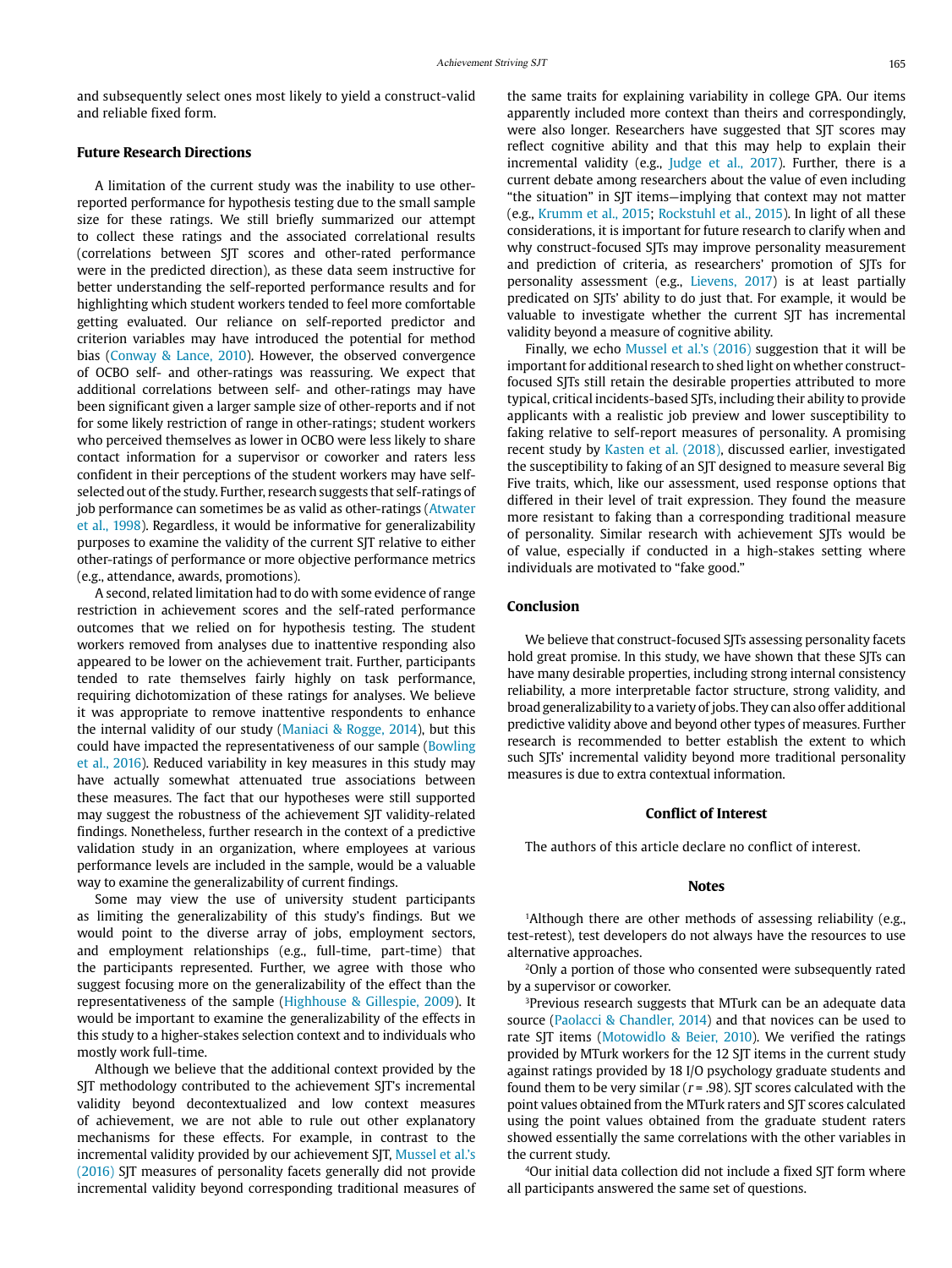and subsequently select ones most likely to yield a construct-valid and reliable fixed form.

#### **Future Research Directions**

A limitation of the current study was the inability to use otherreported performance for hypothesis testing due to the small sample size for these ratings. We still briefly summarized our attempt to collect these ratings and the associated correlational results (correlations between SJT scores and other-rated performance were in the predicted direction), as these data seem instructive for better understanding the self-reported performance results and for highlighting which student workers tended to feel more comfortable getting evaluated. Our reliance on self-reported predictor and criterion variables may have introduced the potential for method bias [\(Conway & Lance, 2010](#page-9-32)). However, the observed convergence of OCBO self- and other-ratings was reassuring. We expect that additional correlations between self- and other-ratings may have been significant given a larger sample size of other-reports and if not for some likely restriction of range in other-ratings; student workers who perceived themselves as lower in OCBO were less likely to share contact information for a supervisor or coworker and raters less confident in their perceptions of the student workers may have selfselected out of the study. Further, research suggests that self-ratings of job performance can sometimes be as valid as other-ratings ([Atwater](#page-9-33)  [et al., 1998](#page-9-33)). Regardless, it would be informative for generalizability purposes to examine the validity of the current SJT relative to either other-ratings of performance or more objective performance metrics (e.g., attendance, awards, promotions).

A second, related limitation had to do with some evidence of range restriction in achievement scores and the self-rated performance outcomes that we relied on for hypothesis testing. The student workers removed from analyses due to inattentive responding also appeared to be lower on the achievement trait. Further, participants tended to rate themselves fairly highly on task performance, requiring dichotomization of these ratings for analyses. We believe it was appropriate to remove inattentive respondents to enhance the internal validity of our study ([Maniaci & Rogge, 2014](#page-10-21)), but this could have impacted the representativeness of our sample ([Bowling](#page-9-34)  [et al., 2016](#page-9-34)). Reduced variability in key measures in this study may have actually somewhat attenuated true associations between these measures. The fact that our hypotheses were still supported may suggest the robustness of the achievement SJT validity-related findings. Nonetheless, further research in the context of a predictive validation study in an organization, where employees at various performance levels are included in the sample, would be a valuable way to examine the generalizability of current findings.

Some may view the use of university student participants as limiting the generalizability of this study's findings. But we would point to the diverse array of jobs, employment sectors, and employment relationships (e.g., full-time, part-time) that the participants represented. Further, we agree with those who suggest focusing more on the generalizability of the effect than the representativeness of the sample ([Highhouse & Gillespie, 2009](#page-9-35)). It would be important to examine the generalizability of the effects in this study to a higher-stakes selection context and to individuals who mostly work full-time.

Although we believe that the additional context provided by the SJT methodology contributed to the achievement SJT's incremental validity beyond decontextualized and low context measures of achievement, we are not able to rule out other explanatory mechanisms for these effects. For example, in contrast to the incremental validity provided by our achievement SJT, Mussel et al.'s [\(2016\)](#page-10-10) SJT measures of personality facets generally did not provide incremental validity beyond corresponding traditional measures of the same traits for explaining variability in college GPA. Our items apparently included more context than theirs and correspondingly, were also longer. Researchers have suggested that SJT scores may reflect cognitive ability and that this may help to explain their incremental validity (e.g., [Judge et al., 2017\)](#page-9-2). Further, there is a current debate among researchers about the value of even including "the situation" in SJT items—implying that context may not matter (e.g., [Krumm et al., 2015;](#page-9-36) [Rockstuhl et al., 2015](#page-10-22)). In light of all these considerations, it is important for future research to clarify when and why construct-focused SJTs may improve personality measurement and prediction of criteria, as researchers' promotion of SJTs for personality assessment (e.g., [Lievens, 2017](#page-9-12)) is at least partially predicated on SJTs' ability to do just that. For example, it would be valuable to investigate whether the current SJT has incremental validity beyond a measure of cognitive ability.

Finally, we echo [Mussel et al.'s \(2016\) s](#page-10-10)uggestion that it will be important for additional research to shed light on whether constructfocused SJTs still retain the desirable properties attributed to more typical, critical incidents-based SJTs, including their ability to provide applicants with a realistic job preview and lower susceptibility to faking relative to self-report measures of personality. A promising recent study by [Kasten et al. \(2018\),](#page-9-3) discussed earlier, investigated the susceptibility to faking of an SJT designed to measure several Big Five traits, which, like our assessment, used response options that differed in their level of trait expression. They found the measure more resistant to faking than a corresponding traditional measure of personality. Similar research with achievement SJTs would be of value, especially if conducted in a high-stakes setting where individuals are motivated to "fake good."

#### **Conclusion**

We believe that construct-focused SJTs assessing personality facets hold great promise. In this study, we have shown that these SJTs can have many desirable properties, including strong internal consistency reliability, a more interpretable factor structure, strong validity, and broad generalizability to a variety of jobs. They can also offer additional predictive validity above and beyond other types of measures. Further research is recommended to better establish the extent to which such SJTs' incremental validity beyond more traditional personality measures is due to extra contextual information.

#### **Conflict of Interest**

The authors of this article declare no conflict of interest.

#### **Notes**

<span id="page-8-0"></span><sup>1</sup>Although there are other methods of assessing reliability (e.g., test-retest), test developers do not always have the resources to use alternative approaches.

<span id="page-8-1"></span><sup>2</sup>Only a portion of those who consented were subsequently rated by a supervisor or coworker.

<span id="page-8-2"></span><sup>3</sup>Previous research suggests that MTurk can be an adequate data source [\(Paolacci & Chandler, 2014](#page-10-23)) and that novices can be used to rate SJT items ([Motowidlo & Beier, 2010\)](#page-10-11). We verified the ratings provided by MTurk workers for the 12 SJT items in the current study against ratings provided by 18 I/O psychology graduate students and found them to be very similar ( $r = .98$ ). SJT scores calculated with the point values obtained from the MTurk raters and SJT scores calculated using the point values obtained from the graduate student raters showed essentially the same correlations with the other variables in the current study.

<span id="page-8-3"></span>4Our initial data collection did not include a fixed SJT form where all participants answered the same set of questions.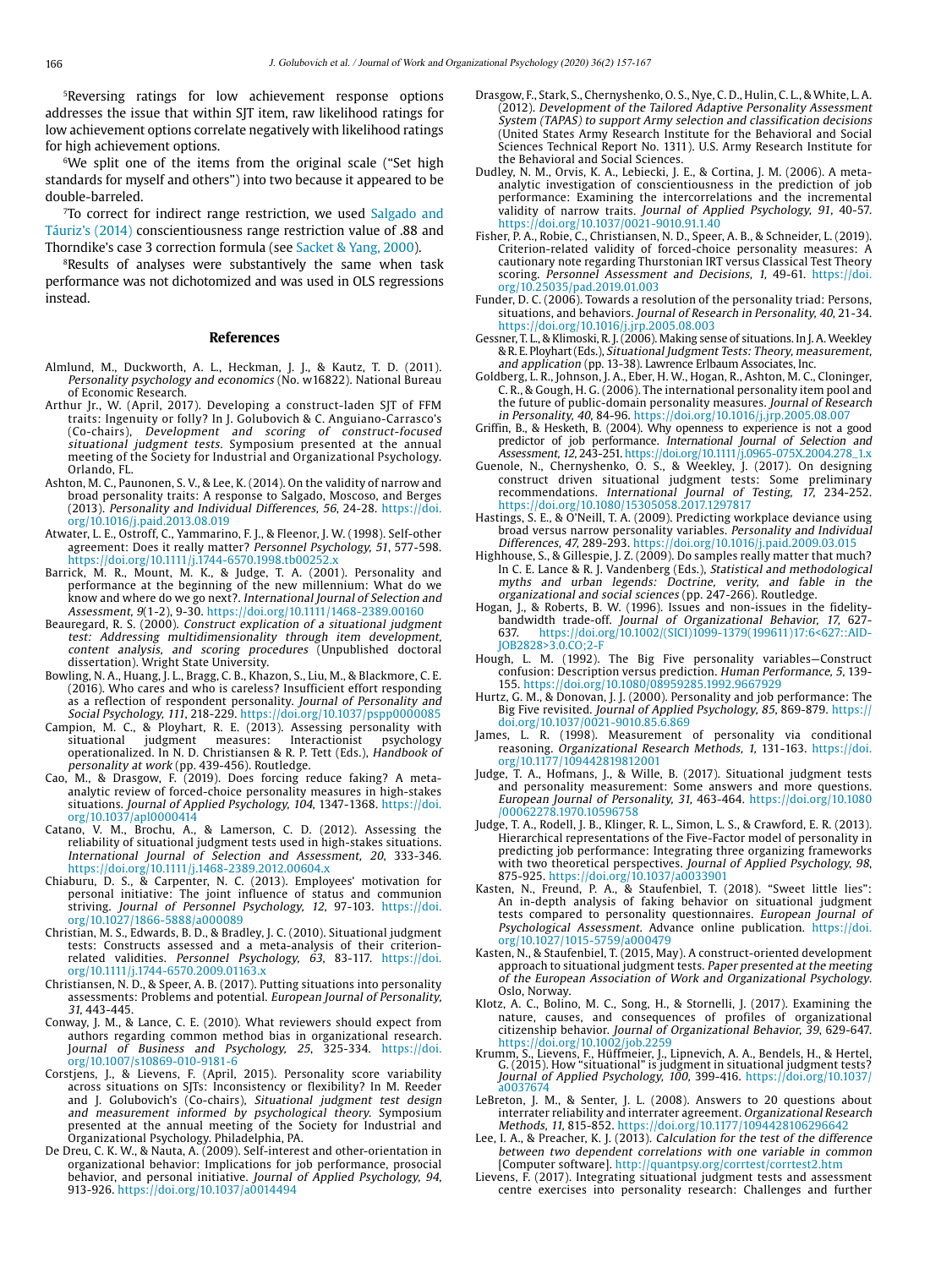<span id="page-9-23"></span>5Reversing ratings for low achievement response options addresses the issue that within SJT item, raw likelihood ratings for low achievement options correlate negatively with likelihood ratings for high achievement options.

<span id="page-9-25"></span><sup>6</sup>We split one of the items from the original scale ("Set high standards for myself and others") into two because it appeared to be double-barreled.

<span id="page-9-26"></span><sup>7</sup>To correct for indirect range restriction, we used Salgado and [Táuriz's \(2014\)](#page-10-1) conscientiousness range restriction value of .88 and Thorndike's case 3 correction formula (see [Sacket & Yang, 2000](#page-10-0)).

<span id="page-9-30"></span>8 Results of analyses were substantively the same when task performance was not dichotomized and was used in OLS regressions instead.

#### **References**

- <span id="page-9-0"></span>Almlund, M., Duckworth, A. L., Heckman, J. J., & Kautz, T. D. (2011). Personality psychology and economics (No. w16822). National Bureau of Economic Research.
- <span id="page-9-19"></span>Arthur Jr., W. (April, 2017). Developing a construct-laden SJT of FFM traits: Ingenuity or folly? In J. Golubovich & C. Anguiano-Carrasco's (Co-chairs), Development and scoring of construct-focused situational judgment tests. Symposium presented at the annual meeting of the Society for Industrial and Organizational Psychology. Orlando, FL.
- <span id="page-9-14"></span>Ashton, M. C., Paunonen, S. V., & Lee, K. (2014). On the validity of narrow and broad personality traits: A response to Salgado, Moscoso, and Berges (2013). Personality and Individual Differences, 56, 24-28. [https://doi.](https://doi.org/10.1016/j.paid.2013.08.019) [org/10.1016/j.paid.2013.08.019](https://doi.org/10.1016/j.paid.2013.08.019)
- <span id="page-9-33"></span>Atwater, L. E., Ostroff, C., Yammarino, F. J., & Fleenor, J. W. (1998). Self-other agreement: Does it really matter? Personnel Psychology, 51, 577-598. https://doi.org/10.1111/j.1744-6570.1998.tb00252.x
- <span id="page-9-1"></span>Barrick, M. R., Mount, M. K., & Judge, T. A. (2001). Personality and performance at the beginning of the new millennium: What do we know and where do we go next?. International Journal of Selection and Assessment, 9(1-2), 9-30. https://doi.org/10.1111/1468-2389.00160
- <span id="page-9-17"></span>Beauregard, R. S. (2000). Construct explication of a situational judgment test: Addressing multidimensionality through item development, content analysis, and scoring procedures (Unpublished doctoral dissertation). Wright State University.
- <span id="page-9-34"></span>Bowling, N. A., Huang, J. L., Bragg, C. B., Khazon, S., Liu, M., & Blackmore, C. E. (2016). Who cares and who is careless? Insufficient effort responding as a reflection of respondent personality. Journal of Personality and Social Psychology, 111, 218-229.<https://doi.org/10.1037/pspp0000085>
- <span id="page-9-15"></span>Campion, M. C., & Ployhart, R. E. (2013). Assessing personality with situational judgment measures: Interactionist psychology operationalized. In N. D. Christiansen & R. P. Tett (Eds.), Handbook of personality at work (pp. 439-456). Routledge.
- <span id="page-9-5"></span>Cao, M., & Drasgow, F. (2019). Does forcing reduce faking? A metaanalytic review of forced-choice personality measures in high-stakes situations. Journal of Applied Psychology, 104, 1347-1368. [https://doi.](https://doi.org/10.1037/apl0000414) [org/10.1037/apl0000414](https://doi.org/10.1037/apl0000414)
- <span id="page-9-31"></span>Catano, V. M., Brochu, A., & Lamerson, C. D. (2012). Assessing the reliability of situational judgment tests used in high-stakes situations. International Journal of Selection and Assessment, 20, 333-346. https://doi.org/10.1111/j.1468-2389.2012.00604.x
- <span id="page-9-16"></span>Chiaburu, D. S., & Carpenter, N. C. (2013). Employees' motivation for personal initiative: The joint influence of status and communion striving. Journal of Personnel Psychology, 12, 97-103. [https://doi.](https://doi.org/10.1027/1866-5888/a000089) [org/10.1027/1866-5888/a000089](https://doi.org/10.1027/1866-5888/a000089)
- Christian, M. S., Edwards, B. D., & Bradley, J. C. (2010). Situational judgment tests: Constructs assessed and a meta-analysis of their criterionrelated validities. Personnel Psychology, 63, 83-117. [https://doi.](https://doi.org/10.1111/j.1744-6570.2009.01163.x) org/10.1111/j.1744-6570.2009.01163.
- Christiansen, N. D., & Speer, A. B. (2017). Putting situations into personality assessments: Problems and potential. European Journal of Personality, 31, 443-445.
- <span id="page-9-32"></span>Conway, J. M., & Lance, C. E. (2010). What reviewers should expect from authors regarding common method bias in organizational research. Journal of Business and Psychology, 25, 325-334. [https://doi.](https://doi.org/10.1007/s10869-010-9181-6) [org/10.1007/s10869-010-9181-6](https://doi.org/10.1007/s10869-010-9181-6)
- <span id="page-9-20"></span>Corstjens, J., & Lievens, F. (April, 2015). Personality score variability across situations on SJTs: Inconsistency or flexibility? In M. Reeder and J. Golubovich's (Co-chairs), Situational judgment test design and measurement informed by psychological theory. Symposium presented at the annual meeting of the Society for Industrial and Organizational Psychology. Philadelphia, PA.
- <span id="page-9-27"></span>De Dreu, C. K. W., & Nauta, A. (2009). Self-interest and other-orientation in organizational behavior: Implications for job performance, prosocial behavior, and personal initiative. Journal of Applied Psychology, 94, 913-926. https://doi.org/10.1037/a0014494
- <span id="page-9-9"></span>Drasgow, F., Stark, S., Chernyshenko, O. S., Nye, C. D., Hulin, C. L., & White, L. A. (2012). Development of the Tailored Adaptive Personality Assessment System (TAPAS) to support Army selection and classification decisions (United States Army Research Institute for the Behavioral and Social Sciences Technical Report No. 1311). U.S. Army Research Institute for the Behavioral and Social Sciences.
- <span id="page-9-10"></span>Dudley, N. M., Orvis, K. A., Lebiecki, J. E., & Cortina, J. M. (2006). A metaanalytic investigation of conscientiousness in the prediction of job performance: Examining the intercorrelations and the incremental validity of narrow traits. Journal of Applied Psychology, 91, 40-57. https://doi.org/10.1037/0021-9010.91.1.40
- <span id="page-9-4"></span>Fisher, P. A., Robie, C., Christiansen, N. D., Speer, A. B., & Schneider, L. (2019). Criterion-related validity of forced-choice personality measures: A cautionary note regarding Thurstonian IRT versus Classical Test Theory scoring. Personnel Assessment and Decisions, 1, 49-61. [https://doi.](https://doi.org/10.25035/pad.2019.01.003) [org/10.25035/pad.2019.01.003](https://doi.org/10.25035/pad.2019.01.003)
- <span id="page-9-11"></span>Funder, D. C. (2006). Towards a resolution of the personality triad: Persons, situations, and behaviors. Journal of Research in Personality, 40, 21-34. https://doi.org/10.1016/j.jrp.2005.08.003
- <span id="page-9-18"></span>Gessner, T. L., & Klimoski, R. J. (2006). Making sense of situations. In J. A. Weekley & R. E. Ployhart (Eds.), Situational Judgment Tests: Theory, measurement,
- <span id="page-9-24"></span>and application (pp. 13-38). Lawrence Erlbaum Associates, Inc. Goldberg, L. R., Johnson, J. A., Eber, H. W., Hogan, R., Ashton, M. C., Cloninger, C. R., & Gough, H. G. (2006). The international personality item pool and the future of public-domain personality measures. Journal of Research in Personality, 40, 84-96. https://doi.org/10.1016/j.jrp.2005.08.007
- <span id="page-9-7"></span>Griffin, B., & Hesketh, B. (2004). Why openness to experience is not a good predictor of job performance. *International Journal of Selection and* Assessment, 12, 243-251. https://doi.org/10.1111/j.0965-075X.2004.278\_1.x
- <span id="page-9-21"></span>Guenole, N., Chernyshenko, O. S., & Weekley, J. (2017). On designing construct driven situational judgment tests: Some preliminary recommendations. International Journal of Testing, 17, 234-252. https://doi.org/10.1080/15305058.2017.1297817
- <span id="page-9-13"></span>Hastings, S. E., & O'Neill, T. A. (2009). Predicting workplace deviance using broad versus narrow personality variables. Personality and Individual Differences, 47, 289-293. https://doi.org/10.1016/j.paid.2009.03.015
- <span id="page-9-35"></span>Highhouse, S., & Gillespie, J. Z. (2009). Do samples really matter that much? In C. E. Lance & R. J. Vandenberg (Eds.), Statistical and methodological myths and urban legends: Doctrine, verity, and fable in the organizational and social sciences (pp. 247-266). Routledge.
- <span id="page-9-6"></span>Hogan, J., & Roberts, B. W. (1996). Issues and non-issues in the fidelitybandwidth trade-off. Journal of Organizational Behavior, 17, 627- 637. [https://doi.org/10.1002/\(SICI\)1099-1379\(199611\)17:6<627::AID-](https://doi.org/10.1002/(SICI)1099-1379(199611)17:6<627::AID-JOB2828>3.0.CO;2-F)[JOB2828>3.0.CO;2-F](https://doi.org/10.1002/(SICI)1099-1379(199611)17:6<627::AID-JOB2828>3.0.CO;2-F)
- <span id="page-9-8"></span>Hough, L. M. (1992). The Big Five personality variables—Construct confusion: Description versus prediction. Human Performance, 5, 139- 155. https://doi.org/10.1080/08959285.1992.9667929
- Hurtz, G. M., & Donovan, J. J. (2000). Personality and job performance: The Big Five revisited. Journal of Applied Psychology, 85, 869-879. https:// doi.org/10.1037/0021-9010.85.6.869
- <span id="page-9-22"></span>James, L. R. (1998). Measurement of personality via conditional reasoning. Organizational Research Methods, 1, 131-163. [https://doi.](https://doi.org/10.1177/109442819812001) [org/10.1177/109442819812001](https://doi.org/10.1177/109442819812001)
- <span id="page-9-2"></span>Judge, T. A., Hofmans, J., & Wille, B. (2017). Situational judgment tests and personality measurement: Some answers and more questions. European Journal of Personality, 31, 463-464. [https://doi.org/10.1080](https://doi.org/10.1080/00062278.1970.10596758) [/00062278.1970.10596758](https://doi.org/10.1080/00062278.1970.10596758)
- Judge, T. A., Rodell, J. B., Klinger, R. L., Simon, L. S., & Crawford, E. R. (2013). Hierarchical representations of the Five-Factor model of personality in predicting job performance: Integrating three organizing frameworks with two theoretical perspectives. Journal of Applied Psychology, 98,<br>875-925. https://doi.org/10.1037/a0033901
- <span id="page-9-3"></span>Kasten, N., Freund, P. A., & Staufenbiel, T. (2018). "Sweet little lies": An in-depth analysis of faking behavior on situational judgment tests compared to personality questionnaires. European Journal of Psychological Assessment. Advance online publication. [https://doi.](https://doi.org/10.1027/1015-5759/a000479) [org/10.1027/1015-5759/a000479](https://doi.org/10.1027/1015-5759/a000479)
- Kasten, N., & Staufenbiel, T. (2015, May). A construct-oriented development approach to situational judgment tests. Paper presented at the meeting of the European Association of Work and Organizational Psychology. Oslo, Norway.
- <span id="page-9-28"></span>Klotz, A. C., Bolino, M. C., Song, H., & Stornelli, J. (2017). Examining the nature, causes, and consequences of profiles of organizational citizenship behavior. Journal of Organizational Behavior, 39, 629-647. https://doi.org/10.1002/job.2259
- <span id="page-9-36"></span>Krumm, S., Lievens, F., Hüffmeier, J., Lipnevich, A. A., Bendels, H., & Hertel,<br>G. (2015). How "situational" is judgment in situational judgment tests?<br>Journal of Applied Psychology, 100, 399-416. [https://doi.org/10.1037/](https://doi.org/10.1037/a0037674) a003767
- LeBreton, J. M., & Senter, J. L. (2008). Answers to 20 questions about interrater reliability and interrater agreement. Organizational Research Methods, 11, 815-852. https://doi.org/10.1177/1094428106296642
- <span id="page-9-29"></span>Lee, I. A., & Preacher, K. J. (2013). Calculation for the test of the difference between two dependent correlations with one variable in common [Computer software]. http://quantpsy.org/corrtest/corrtest2.htm
- <span id="page-9-12"></span>Lievens, F. (2017). Integrating situational judgment tests and assessment centre exercises into personality research: Challenges and further